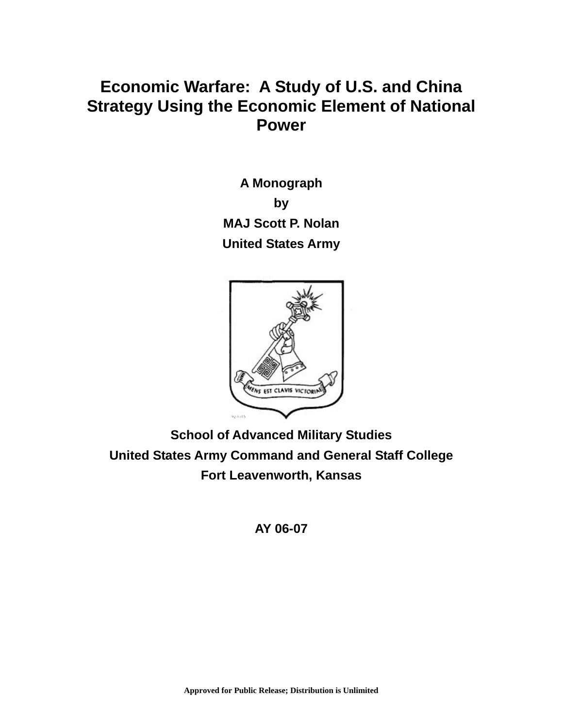# **Economic Warfare: A Study of U.S. and China Strategy Using the Economic Element of National Power**

**A Monograph by MAJ Scott P. Nolan United States Army** 



**School of Advanced Military Studies United States Army Command and General Staff College Fort Leavenworth, Kansas** 

## **AY 06-07**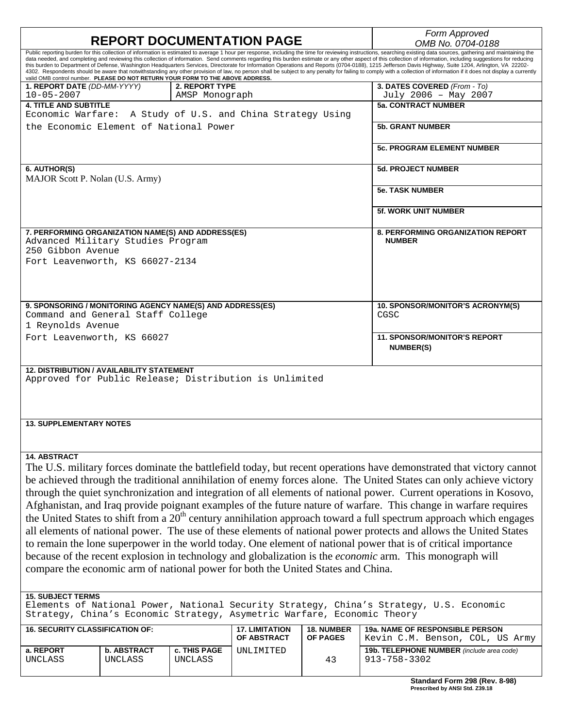|                                                                                                                                                                                                                                                           |                    |                     |                       |                        | Form Approved                                                                                                                                                                                                                                                                                                                                                                                                                                                                                                                                                                                                                                        |  |  |
|-----------------------------------------------------------------------------------------------------------------------------------------------------------------------------------------------------------------------------------------------------------|--------------------|---------------------|-----------------------|------------------------|------------------------------------------------------------------------------------------------------------------------------------------------------------------------------------------------------------------------------------------------------------------------------------------------------------------------------------------------------------------------------------------------------------------------------------------------------------------------------------------------------------------------------------------------------------------------------------------------------------------------------------------------------|--|--|
| <b>REPORT DOCUMENTATION PAGE</b><br>Public reporting burden for this collection of information is estimated to average 1 hour per response, including the time for reviewing instructions, searching existing data sources, gathering and maintaining the |                    |                     |                       |                        | OMB No. 0704-0188                                                                                                                                                                                                                                                                                                                                                                                                                                                                                                                                                                                                                                    |  |  |
|                                                                                                                                                                                                                                                           |                    |                     |                       |                        | data needed, and completing and reviewing this collection of information. Send comments regarding this burden estimate or any other aspect of this collection of information, including suggestions for reducing<br>this burden to Department of Defense, Washington Headquarters Services, Directorate for Information Operations and Reports (0704-0188), 1215 Jefferson Davis Highway, Suite 1204, Arlington, VA 22202-<br>4302. Respondents should be aware that notwithstanding any other provision of law, no person shall be subject to any penalty for failing to comply with a collection of information if it does not display a currently |  |  |
| valid OMB control number. PLEASE DO NOT RETURN YOUR FORM TO THE ABOVE ADDRESS.<br>1. REPORT DATE (DD-MM-YYYY)                                                                                                                                             |                    | 2. REPORT TYPE      |                       |                        | 3. DATES COVERED (From - To)                                                                                                                                                                                                                                                                                                                                                                                                                                                                                                                                                                                                                         |  |  |
| $10 - 05 - 2007$                                                                                                                                                                                                                                          |                    | AMSP Monograph      |                       |                        | July 2006 - May 2007                                                                                                                                                                                                                                                                                                                                                                                                                                                                                                                                                                                                                                 |  |  |
| <b>4. TITLE AND SUBTITLE</b>                                                                                                                                                                                                                              |                    |                     |                       |                        | <b>5a. CONTRACT NUMBER</b>                                                                                                                                                                                                                                                                                                                                                                                                                                                                                                                                                                                                                           |  |  |
| Economic Warfare: A Study of U.S. and China Strategy Using                                                                                                                                                                                                |                    |                     |                       |                        |                                                                                                                                                                                                                                                                                                                                                                                                                                                                                                                                                                                                                                                      |  |  |
| the Economic Element of National Power                                                                                                                                                                                                                    |                    |                     |                       |                        | <b>5b. GRANT NUMBER</b>                                                                                                                                                                                                                                                                                                                                                                                                                                                                                                                                                                                                                              |  |  |
|                                                                                                                                                                                                                                                           |                    |                     |                       |                        |                                                                                                                                                                                                                                                                                                                                                                                                                                                                                                                                                                                                                                                      |  |  |
|                                                                                                                                                                                                                                                           |                    |                     |                       |                        | <b>5c. PROGRAM ELEMENT NUMBER</b>                                                                                                                                                                                                                                                                                                                                                                                                                                                                                                                                                                                                                    |  |  |
| 6. AUTHOR(S)                                                                                                                                                                                                                                              |                    |                     |                       |                        | <b>5d. PROJECT NUMBER</b>                                                                                                                                                                                                                                                                                                                                                                                                                                                                                                                                                                                                                            |  |  |
| MAJOR Scott P. Nolan (U.S. Army)                                                                                                                                                                                                                          |                    |                     |                       |                        |                                                                                                                                                                                                                                                                                                                                                                                                                                                                                                                                                                                                                                                      |  |  |
|                                                                                                                                                                                                                                                           |                    |                     |                       | <b>5e. TASK NUMBER</b> |                                                                                                                                                                                                                                                                                                                                                                                                                                                                                                                                                                                                                                                      |  |  |
|                                                                                                                                                                                                                                                           |                    |                     |                       |                        |                                                                                                                                                                                                                                                                                                                                                                                                                                                                                                                                                                                                                                                      |  |  |
|                                                                                                                                                                                                                                                           |                    |                     |                       |                        | <b>5f. WORK UNIT NUMBER</b>                                                                                                                                                                                                                                                                                                                                                                                                                                                                                                                                                                                                                          |  |  |
| 7. PERFORMING ORGANIZATION NAME(S) AND ADDRESS(ES)                                                                                                                                                                                                        |                    |                     |                       |                        | <b>8. PERFORMING ORGANIZATION REPORT</b>                                                                                                                                                                                                                                                                                                                                                                                                                                                                                                                                                                                                             |  |  |
| Advanced Military Studies Program                                                                                                                                                                                                                         |                    |                     |                       |                        | <b>NUMBER</b>                                                                                                                                                                                                                                                                                                                                                                                                                                                                                                                                                                                                                                        |  |  |
| 250 Gibbon Avenue                                                                                                                                                                                                                                         |                    |                     |                       |                        |                                                                                                                                                                                                                                                                                                                                                                                                                                                                                                                                                                                                                                                      |  |  |
| Fort Leavenworth, KS 66027-2134                                                                                                                                                                                                                           |                    |                     |                       |                        |                                                                                                                                                                                                                                                                                                                                                                                                                                                                                                                                                                                                                                                      |  |  |
|                                                                                                                                                                                                                                                           |                    |                     |                       |                        |                                                                                                                                                                                                                                                                                                                                                                                                                                                                                                                                                                                                                                                      |  |  |
|                                                                                                                                                                                                                                                           |                    |                     |                       |                        |                                                                                                                                                                                                                                                                                                                                                                                                                                                                                                                                                                                                                                                      |  |  |
|                                                                                                                                                                                                                                                           |                    |                     |                       |                        |                                                                                                                                                                                                                                                                                                                                                                                                                                                                                                                                                                                                                                                      |  |  |
|                                                                                                                                                                                                                                                           |                    |                     |                       |                        |                                                                                                                                                                                                                                                                                                                                                                                                                                                                                                                                                                                                                                                      |  |  |
| 9. SPONSORING / MONITORING AGENCY NAME(S) AND ADDRESS(ES)                                                                                                                                                                                                 |                    |                     |                       |                        | 10. SPONSOR/MONITOR'S ACRONYM(S)                                                                                                                                                                                                                                                                                                                                                                                                                                                                                                                                                                                                                     |  |  |
| Command and General Staff College                                                                                                                                                                                                                         |                    |                     |                       |                        | CGSC                                                                                                                                                                                                                                                                                                                                                                                                                                                                                                                                                                                                                                                 |  |  |
| 1 Reynolds Avenue                                                                                                                                                                                                                                         |                    |                     |                       |                        |                                                                                                                                                                                                                                                                                                                                                                                                                                                                                                                                                                                                                                                      |  |  |
| Fort Leavenworth, KS 66027                                                                                                                                                                                                                                |                    |                     |                       |                        | <b>11. SPONSOR/MONITOR'S REPORT</b>                                                                                                                                                                                                                                                                                                                                                                                                                                                                                                                                                                                                                  |  |  |
|                                                                                                                                                                                                                                                           |                    |                     |                       |                        | <b>NUMBER(S)</b>                                                                                                                                                                                                                                                                                                                                                                                                                                                                                                                                                                                                                                     |  |  |
|                                                                                                                                                                                                                                                           |                    |                     |                       |                        |                                                                                                                                                                                                                                                                                                                                                                                                                                                                                                                                                                                                                                                      |  |  |
| <b>12. DISTRIBUTION / AVAILABILITY STATEMENT</b>                                                                                                                                                                                                          |                    |                     |                       |                        |                                                                                                                                                                                                                                                                                                                                                                                                                                                                                                                                                                                                                                                      |  |  |
| Approved for Public Release; Distribution is Unlimited                                                                                                                                                                                                    |                    |                     |                       |                        |                                                                                                                                                                                                                                                                                                                                                                                                                                                                                                                                                                                                                                                      |  |  |
|                                                                                                                                                                                                                                                           |                    |                     |                       |                        |                                                                                                                                                                                                                                                                                                                                                                                                                                                                                                                                                                                                                                                      |  |  |
|                                                                                                                                                                                                                                                           |                    |                     |                       |                        |                                                                                                                                                                                                                                                                                                                                                                                                                                                                                                                                                                                                                                                      |  |  |
|                                                                                                                                                                                                                                                           |                    |                     |                       |                        |                                                                                                                                                                                                                                                                                                                                                                                                                                                                                                                                                                                                                                                      |  |  |
| <b>13. SUPPLEMENTARY NOTES</b>                                                                                                                                                                                                                            |                    |                     |                       |                        |                                                                                                                                                                                                                                                                                                                                                                                                                                                                                                                                                                                                                                                      |  |  |
|                                                                                                                                                                                                                                                           |                    |                     |                       |                        |                                                                                                                                                                                                                                                                                                                                                                                                                                                                                                                                                                                                                                                      |  |  |
|                                                                                                                                                                                                                                                           |                    |                     |                       |                        |                                                                                                                                                                                                                                                                                                                                                                                                                                                                                                                                                                                                                                                      |  |  |
|                                                                                                                                                                                                                                                           |                    |                     |                       |                        |                                                                                                                                                                                                                                                                                                                                                                                                                                                                                                                                                                                                                                                      |  |  |
| <b>14. ABSTRACT</b>                                                                                                                                                                                                                                       |                    |                     |                       |                        |                                                                                                                                                                                                                                                                                                                                                                                                                                                                                                                                                                                                                                                      |  |  |
|                                                                                                                                                                                                                                                           |                    |                     |                       |                        | The U.S. military forces dominate the battlefield today, but recent operations have demonstrated that victory cannot                                                                                                                                                                                                                                                                                                                                                                                                                                                                                                                                 |  |  |
| be achieved through the traditional annihilation of enemy forces alone. The United States can only achieve victory                                                                                                                                        |                    |                     |                       |                        |                                                                                                                                                                                                                                                                                                                                                                                                                                                                                                                                                                                                                                                      |  |  |
| through the quiet synchronization and integration of all elements of national power. Current operations in Kosovo,                                                                                                                                        |                    |                     |                       |                        |                                                                                                                                                                                                                                                                                                                                                                                                                                                                                                                                                                                                                                                      |  |  |
|                                                                                                                                                                                                                                                           |                    |                     |                       |                        |                                                                                                                                                                                                                                                                                                                                                                                                                                                                                                                                                                                                                                                      |  |  |
| Afghanistan, and Iraq provide poignant examples of the future nature of warfare. This change in warfare requires                                                                                                                                          |                    |                     |                       |                        |                                                                                                                                                                                                                                                                                                                                                                                                                                                                                                                                                                                                                                                      |  |  |
| the United States to shift from a 20 <sup>th</sup> century annihilation approach toward a full spectrum approach which engages                                                                                                                            |                    |                     |                       |                        |                                                                                                                                                                                                                                                                                                                                                                                                                                                                                                                                                                                                                                                      |  |  |
| all elements of national power. The use of these elements of national power protects and allows the United States                                                                                                                                         |                    |                     |                       |                        |                                                                                                                                                                                                                                                                                                                                                                                                                                                                                                                                                                                                                                                      |  |  |
| to remain the lone superpower in the world today. One element of national power that is of critical importance                                                                                                                                            |                    |                     |                       |                        |                                                                                                                                                                                                                                                                                                                                                                                                                                                                                                                                                                                                                                                      |  |  |
|                                                                                                                                                                                                                                                           |                    |                     |                       |                        |                                                                                                                                                                                                                                                                                                                                                                                                                                                                                                                                                                                                                                                      |  |  |
| because of the recent explosion in technology and globalization is the <i>economic</i> arm. This monograph will                                                                                                                                           |                    |                     |                       |                        |                                                                                                                                                                                                                                                                                                                                                                                                                                                                                                                                                                                                                                                      |  |  |
| compare the economic arm of national power for both the United States and China.                                                                                                                                                                          |                    |                     |                       |                        |                                                                                                                                                                                                                                                                                                                                                                                                                                                                                                                                                                                                                                                      |  |  |
|                                                                                                                                                                                                                                                           |                    |                     |                       |                        |                                                                                                                                                                                                                                                                                                                                                                                                                                                                                                                                                                                                                                                      |  |  |
| <b>15. SUBJECT TERMS</b>                                                                                                                                                                                                                                  |                    |                     |                       |                        |                                                                                                                                                                                                                                                                                                                                                                                                                                                                                                                                                                                                                                                      |  |  |
| Elements of National Power, National Security Strategy, China's Strategy, U.S. Economic                                                                                                                                                                   |                    |                     |                       |                        |                                                                                                                                                                                                                                                                                                                                                                                                                                                                                                                                                                                                                                                      |  |  |
| Strategy, China's Economic Strategy, Asymetric Warfare, Economic Theory                                                                                                                                                                                   |                    |                     |                       |                        |                                                                                                                                                                                                                                                                                                                                                                                                                                                                                                                                                                                                                                                      |  |  |
|                                                                                                                                                                                                                                                           |                    |                     |                       |                        |                                                                                                                                                                                                                                                                                                                                                                                                                                                                                                                                                                                                                                                      |  |  |
| <b>16. SECURITY CLASSIFICATION OF:</b>                                                                                                                                                                                                                    |                    |                     | <b>17. LIMITATION</b> | <b>18. NUMBER</b>      | <b>19a. NAME OF RESPONSIBLE PERSON</b>                                                                                                                                                                                                                                                                                                                                                                                                                                                                                                                                                                                                               |  |  |
|                                                                                                                                                                                                                                                           |                    |                     | OF ABSTRACT           | <b>OF PAGES</b>        | Kevin C.M. Benson, COL, US Army                                                                                                                                                                                                                                                                                                                                                                                                                                                                                                                                                                                                                      |  |  |
| a. REPORT                                                                                                                                                                                                                                                 | <b>b. ABSTRACT</b> | <b>c. THIS PAGE</b> | UNLIMITED             |                        | 19b. TELEPHONE NUMBER (include area code)                                                                                                                                                                                                                                                                                                                                                                                                                                                                                                                                                                                                            |  |  |
| UNCLASS                                                                                                                                                                                                                                                   | UNCLASS            | UNCLASS             |                       | 43                     | 913-758-3302                                                                                                                                                                                                                                                                                                                                                                                                                                                                                                                                                                                                                                         |  |  |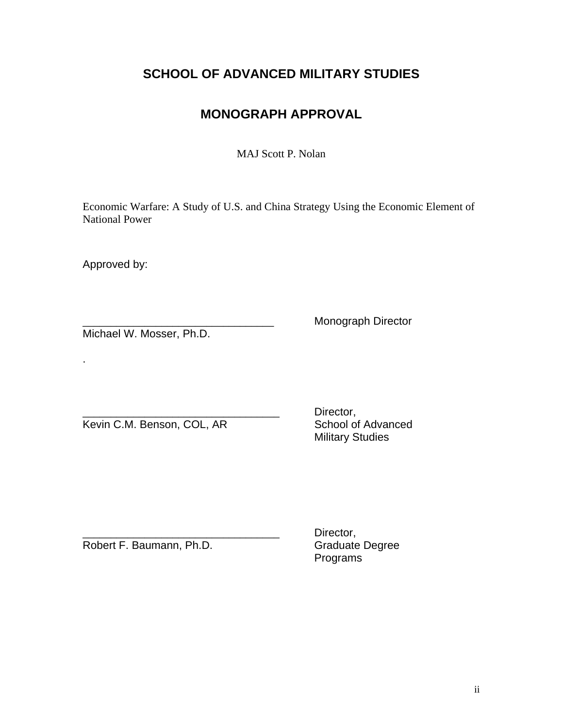# **SCHOOL OF ADVANCED MILITARY STUDIES**

# **MONOGRAPH APPROVAL**

MAJ Scott P. Nolan

Economic Warfare: A Study of U.S. and China Strategy Using the Economic Element of National Power

Approved by:

.

Michael W. Mosser, Ph.D.

Monograph Director

Kevin C.M. Benson, COL, AR

Director,<br>School of Advanced Military Studies

Robert F. Baumann, Ph.D. Graduate Degree

Director, Programs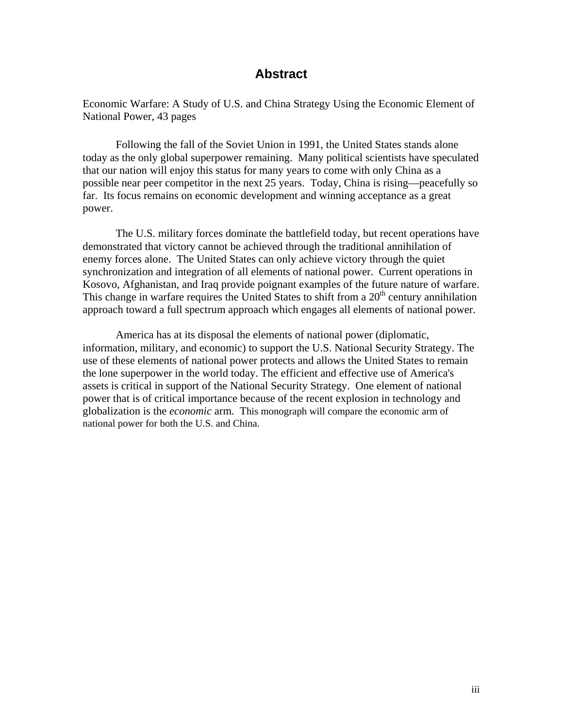## **Abstract**

Economic Warfare: A Study of U.S. and China Strategy Using the Economic Element of National Power, 43 pages

 Following the fall of the Soviet Union in 1991, the United States stands alone today as the only global superpower remaining. Many political scientists have speculated that our nation will enjoy this status for many years to come with only China as a possible near peer competitor in the next 25 years. Today, China is rising—peacefully so far. Its focus remains on economic development and winning acceptance as a great power.

 The U.S. military forces dominate the battlefield today, but recent operations have demonstrated that victory cannot be achieved through the traditional annihilation of enemy forces alone. The United States can only achieve victory through the quiet synchronization and integration of all elements of national power. Current operations in Kosovo, Afghanistan, and Iraq provide poignant examples of the future nature of warfare. This change in warfare requires the United States to shift from a 20<sup>th</sup> century annihilation approach toward a full spectrum approach which engages all elements of national power.

America has at its disposal the elements of national power (diplomatic, information, military, and economic) to support the U.S. National Security Strategy. The use of these elements of national power protects and allows the United States to remain the lone superpower in the world today. The efficient and effective use of America's assets is critical in support of the National Security Strategy. One element of national power that is of critical importance because of the recent explosion in technology and globalization is the *economic* arm. This monograph will compare the economic arm of national power for both the U.S. and China.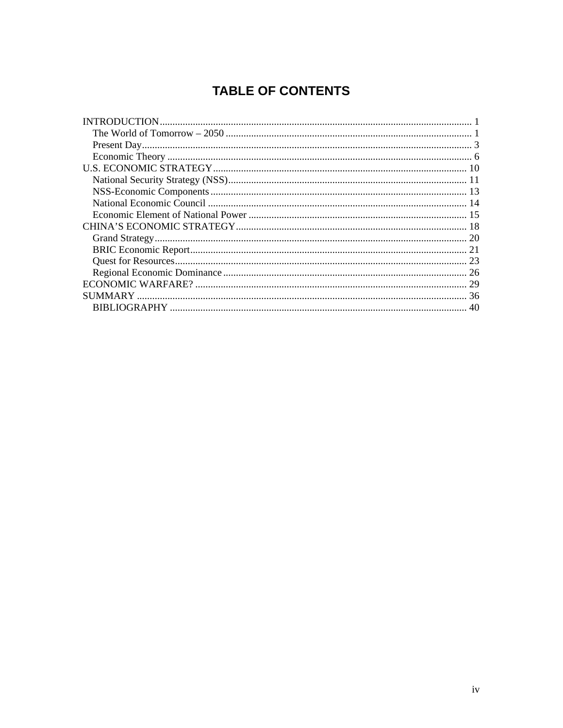# **TABLE OF CONTENTS**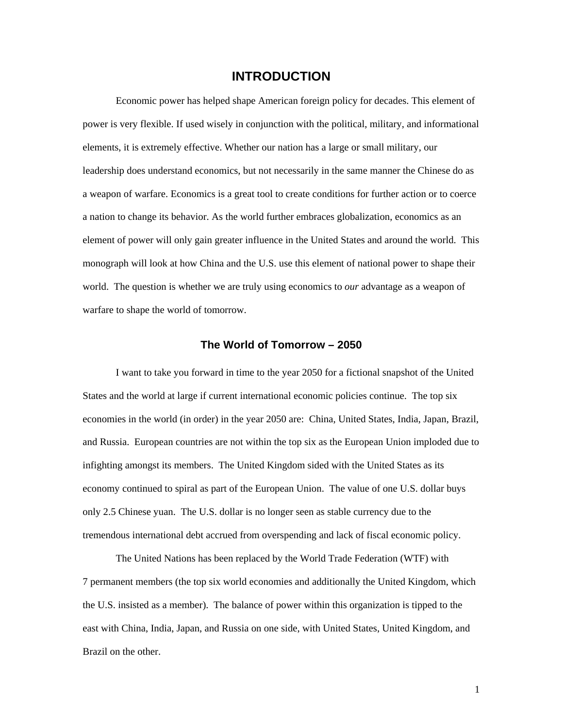## **INTRODUCTION**

<span id="page-5-0"></span>Economic power has helped shape American foreign policy for decades. This element of power is very flexible. If used wisely in conjunction with the political, military, and informational elements, it is extremely effective. Whether our nation has a large or small military, our leadership does understand economics, but not necessarily in the same manner the Chinese do as a weapon of warfare. Economics is a great tool to create conditions for further action or to coerce a nation to change its behavior. As the world further embraces globalization, economics as an element of power will only gain greater influence in the United States and around the world. This monograph will look at how China and the U.S. use this element of national power to shape their world. The question is whether we are truly using economics to *our* advantage as a weapon of warfare to shape the world of tomorrow.

### **The World of Tomorrow – 2050**

 I want to take you forward in time to the year 2050 for a fictional snapshot of the United States and the world at large if current international economic policies continue. The top six economies in the world (in order) in the year 2050 are: China, United States, India, Japan, Brazil, and Russia. European countries are not within the top six as the European Union imploded due to infighting amongst its members. The United Kingdom sided with the United States as its economy continued to spiral as part of the European Union. The value of one U.S. dollar buys only 2.5 Chinese yuan. The U.S. dollar is no longer seen as stable currency due to the tremendous international debt accrued from overspending and lack of fiscal economic policy.

The United Nations has been replaced by the World Trade Federation (WTF) with 7 permanent members (the top six world economies and additionally the United Kingdom, which the U.S. insisted as a member). The balance of power within this organization is tipped to the east with China, India, Japan, and Russia on one side, with United States, United Kingdom, and Brazil on the other.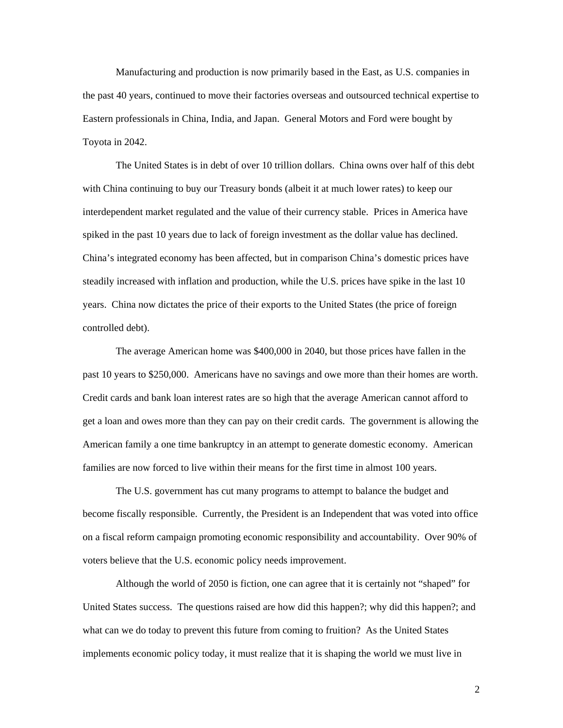Manufacturing and production is now primarily based in the East, as U.S. companies in the past 40 years, continued to move their factories overseas and outsourced technical expertise to Eastern professionals in China, India, and Japan. General Motors and Ford were bought by Toyota in 2042.

 The United States is in debt of over 10 trillion dollars. China owns over half of this debt with China continuing to buy our Treasury bonds (albeit it at much lower rates) to keep our interdependent market regulated and the value of their currency stable. Prices in America have spiked in the past 10 years due to lack of foreign investment as the dollar value has declined. China's integrated economy has been affected, but in comparison China's domestic prices have steadily increased with inflation and production, while the U.S. prices have spike in the last 10 years. China now dictates the price of their exports to the United States (the price of foreign controlled debt).

 The average American home was \$400,000 in 2040, but those prices have fallen in the past 10 years to \$250,000. Americans have no savings and owe more than their homes are worth. Credit cards and bank loan interest rates are so high that the average American cannot afford to get a loan and owes more than they can pay on their credit cards. The government is allowing the American family a one time bankruptcy in an attempt to generate domestic economy. American families are now forced to live within their means for the first time in almost 100 years.

 The U.S. government has cut many programs to attempt to balance the budget and become fiscally responsible. Currently, the President is an Independent that was voted into office on a fiscal reform campaign promoting economic responsibility and accountability. Over 90% of voters believe that the U.S. economic policy needs improvement.

 Although the world of 2050 is fiction, one can agree that it is certainly not "shaped" for United States success. The questions raised are how did this happen?; why did this happen?; and what can we do today to prevent this future from coming to fruition? As the United States implements economic policy today, it must realize that it is shaping the world we must live in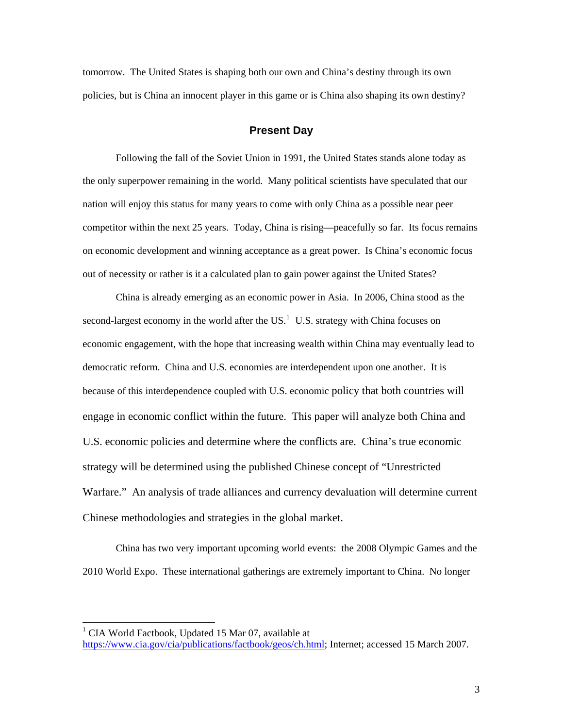<span id="page-7-0"></span>tomorrow. The United States is shaping both our own and China's destiny through its own policies, but is China an innocent player in this game or is China also shaping its own destiny?

### **Present Day**

Following the fall of the Soviet Union in 1991, the United States stands alone today as the only superpower remaining in the world. Many political scientists have speculated that our nation will enjoy this status for many years to come with only China as a possible near peer competitor within the next 25 years. Today, China is rising—peacefully so far. Its focus remains on economic development and winning acceptance as a great power. Is China's economic focus out of necessity or rather is it a calculated plan to gain power against the United States?

China is already emerging as an economic power in Asia. In 2006, China stood as the second-largest economy in the world after the  $US<sup>1</sup>$  $US<sup>1</sup>$  $US<sup>1</sup>$  U.S. strategy with China focuses on economic engagement, with the hope that increasing wealth within China may eventually lead to democratic reform. China and U.S. economies are interdependent upon one another. It is because of this interdependence coupled with U.S. economic policy that both countries will engage in economic conflict within the future. This paper will analyze both China and U.S. economic policies and determine where the conflicts are. China's true economic strategy will be determined using the published Chinese concept of "Unrestricted Warfare." An analysis of trade alliances and currency devaluation will determine current Chinese methodologies and strategies in the global market.

 China has two very important upcoming world events: the 2008 Olympic Games and the 2010 World Expo. These international gatherings are extremely important to China. No longer

<span id="page-7-1"></span><sup>&</sup>lt;sup>1</sup> CIA World Factbook, Updated 15 Mar 07, available at

[https://www.cia.gov/cia/publications/factbook/geos/ch.html;](https://www.cia.gov/cia/publications/factbook/geos/ch.html) Internet; accessed 15 March 2007.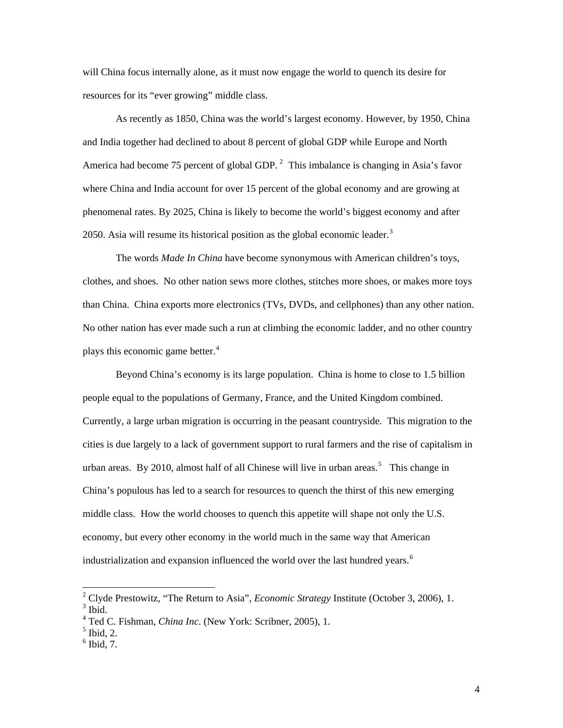will China focus internally alone, as it must now engage the world to quench its desire for resources for its "ever growing" middle class.

As recently as 1850, China was the world's largest economy. However, by 1950, China and India together had declined to about 8 percent of global GDP while Europe and North America had become 75 percent of global GDP.  $2$  This imbalance is changing in Asia's favor where China and India account for over 15 percent of the global economy and are growing at phenomenal rates. By 2025, China is likely to become the world's biggest economy and after 2050. Asia will resume its historical position as the global economic leader.<sup>[3](#page-8-1)</sup>

The words *Made In China* have become synonymous with American children's toys, clothes, and shoes. No other nation sews more clothes, stitches more shoes, or makes more toys than China. China exports more electronics (TVs, DVDs, and cellphones) than any other nation. No other nation has ever made such a run at climbing the economic ladder, and no other country plays this economic game better.<sup>[4](#page-8-2)</sup>

Beyond China's economy is its large population. China is home to close to 1.5 billion people equal to the populations of Germany, France, and the United Kingdom combined. Currently, a large urban migration is occurring in the peasant countryside. This migration to the cities is due largely to a lack of government support to rural farmers and the rise of capitalism in urban areas. By 2010, almost half of all Chinese will live in urban areas.<sup>[5](#page-8-3)</sup> This change in China's populous has led to a search for resources to quench the thirst of this new emerging middle class. How the world chooses to quench this appetite will shape not only the U.S. economy, but every other economy in the world much in the same way that American industrialization and expansion influenced the world over the last hundred years.<sup>[6](#page-8-4)</sup>

<span id="page-8-0"></span><sup>2</sup> Clyde Prestowitz, "The Return to Asia", *Economic Strategy* Institute (October 3, 2006), 1.  $3$  Ibid.

<span id="page-8-2"></span><span id="page-8-1"></span><sup>4</sup> Ted C. Fishman, *China Inc*. (New York: Scribner, 2005), 1.

<span id="page-8-3"></span> $<sup>5</sup>$  Ibid, 2.</sup>

<span id="page-8-4"></span> $<sup>6</sup>$  Ibid, 7.</sup>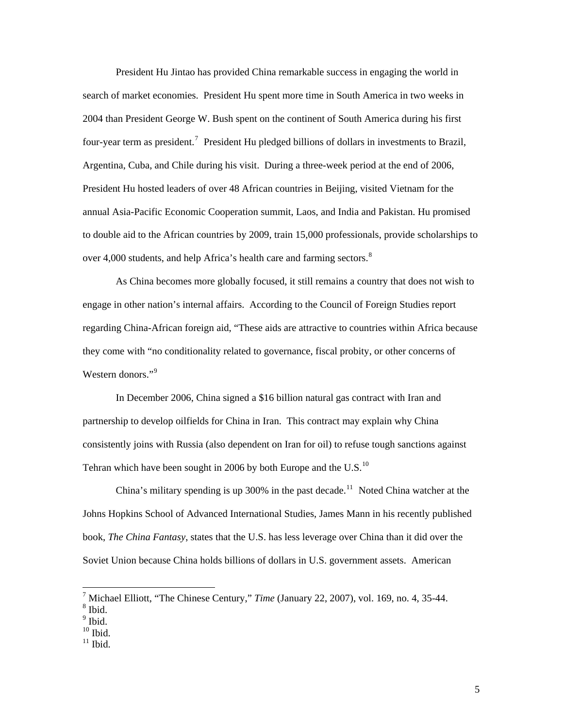President Hu Jintao has provided China remarkable success in engaging the world in search of market economies. President Hu spent more time in South America in two weeks in 2004 than President George W. Bush spent on the continent of South America during his first four-year term as president.<sup>[7](#page-9-0)</sup> President Hu pledged billions of dollars in investments to Brazil, Argentina, Cuba, and Chile during his visit. During a three-week period at the end of 2006, President Hu hosted leaders of over 48 African countries in Beijing, visited Vietnam for the annual Asia-Pacific Economic Cooperation summit, Laos, and India and Pakistan. Hu promised to double aid to the African countries by 2009, train 15,000 professionals, provide scholarships to over 4,000 students, and help Africa's health care and farming sectors. $8$ 

As China becomes more globally focused, it still remains a country that does not wish to engage in other nation's internal affairs. According to the Council of Foreign Studies report regarding China-African foreign aid, "These aids are attractive to countries within Africa because they come with "no conditionality related to governance, fiscal probity, or other concerns of Western donors."<sup>[9](#page-9-2)</sup>

In December 2006, China signed a \$16 billion natural gas contract with Iran and partnership to develop oilfields for China in Iran. This contract may explain why China consistently joins with Russia (also dependent on Iran for oil) to refuse tough sanctions against Tehran which have been sought in 2006 by both Europe and the U.S. $^{10}$  $^{10}$  $^{10}$ 

China's military spending is up 300% in the past decade.<sup>[11](#page-9-4)</sup> Noted China watcher at the Johns Hopkins School of Advanced International Studies, James Mann in his recently published book, *The China Fantasy*, states that the U.S. has less leverage over China than it did over the Soviet Union because China holds billions of dollars in U.S. government assets. American

 7 Michael Elliott, "The Chinese Century," *Time* (January 22, 2007), vol. 169, no. 4, 35-44.

<span id="page-9-1"></span><span id="page-9-0"></span><sup>8</sup> Ibid.

<sup>&</sup>lt;sup>9</sup> Ibid.

<span id="page-9-2"></span> $^{10}$  Ibid.

<span id="page-9-4"></span><span id="page-9-3"></span> $^{11}$  Ibid.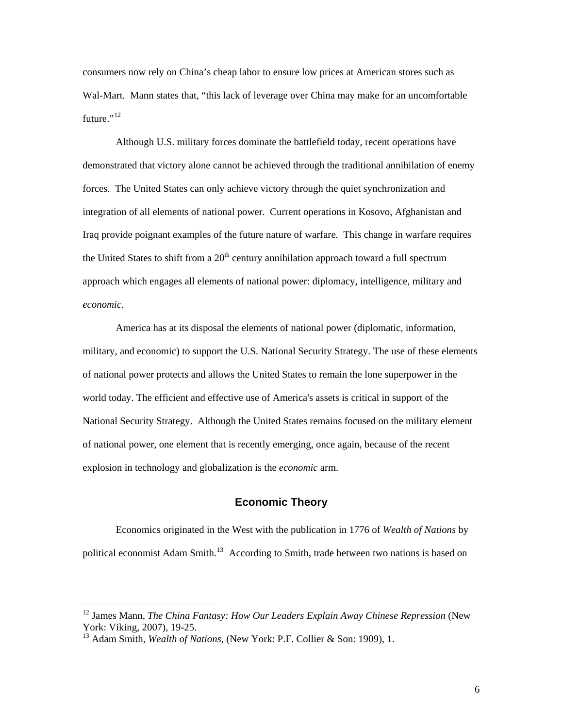<span id="page-10-0"></span>consumers now rely on China's cheap labor to ensure low prices at American stores such as Wal-Mart. Mann states that, "this lack of leverage over China may make for an uncomfortable future." $^{12}$  $^{12}$  $^{12}$ 

 Although U.S. military forces dominate the battlefield today, recent operations have demonstrated that victory alone cannot be achieved through the traditional annihilation of enemy forces. The United States can only achieve victory through the quiet synchronization and integration of all elements of national power. Current operations in Kosovo, Afghanistan and Iraq provide poignant examples of the future nature of warfare. This change in warfare requires the United States to shift from a  $20<sup>th</sup>$  century annihilation approach toward a full spectrum approach which engages all elements of national power: diplomacy, intelligence, military and *economic*.

America has at its disposal the elements of national power (diplomatic, information, military, and economic) to support the U.S. National Security Strategy. The use of these elements of national power protects and allows the United States to remain the lone superpower in the world today. The efficient and effective use of America's assets is critical in support of the National Security Strategy. Although the United States remains focused on the military element of national power, one element that is recently emerging, once again, because of the recent explosion in technology and globalization is the *economic* arm.

## **Economic Theory**

 Economics originated in the West with the publication in 1776 of *Wealth of Nations* by political economist Adam Smith.<sup>[13](#page-10-2)</sup> According to Smith, trade between two nations is based on

<span id="page-10-1"></span><sup>&</sup>lt;sup>12</sup> James Mann, *The China Fantasy: How Our Leaders Explain Away Chinese Repression* (New York: Viking, 2007), 19-25.

<span id="page-10-2"></span><sup>&</sup>lt;sup>13</sup> Adam Smith, *Wealth of Nations*, (New York: P.F. Collier & Son: 1909), 1.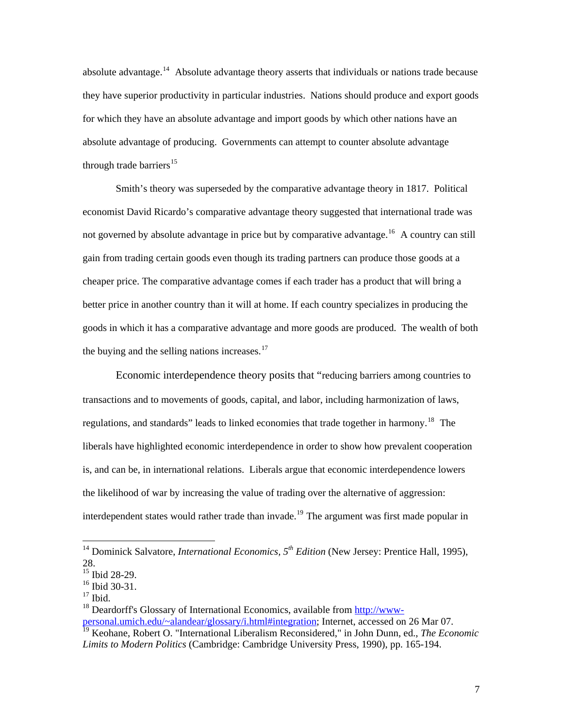absolute advantage.<sup>[14](#page-11-0)</sup> Absolute advantage theory asserts that individuals or nations trade because they have superior productivity in particular industries. Nations should produce and export goods for which they have an absolute advantage and import goods by which other nations have an absolute advantage of producing. Governments can attempt to counter absolute advantage through trade barriers $^{15}$  $^{15}$  $^{15}$ 

Smith's theory was superseded by the comparative advantage theory in 1817. Political economist David Ricardo's comparative advantage theory suggested that international trade was not governed by absolute advantage in price but by comparative advantage.<sup>[16](#page-11-2)</sup> A country can still gain from trading certain goods even though its trading partners can produce those goods at a cheaper price. The comparative advantage comes if each trader has a product that will bring a better price in another country than it will at home. If each country specializes in producing the goods in which it has a comparative advantage and more goods are produced. The wealth of both the buying and the selling nations increases. $17$ 

 Economic interdependence theory posits that "reducing barriers among countries to transactions and to movements of goods, capital, and labor, including harmonization of laws, regulations, and standards" leads to linked economies that trade together in harmony.<sup>[18](#page-11-4)</sup> The liberals have highlighted economic interdependence in order to show how prevalent cooperation is, and can be, in international relations. Liberals argue that economic interdependence lowers the likelihood of war by increasing the value of trading over the alternative of aggression: interdependent states would rather trade than invade.<sup>[19](#page-11-5)</sup> The argument was first made popular in

<span id="page-11-0"></span><sup>&</sup>lt;sup>14</sup> Dominick Salvatore, *International Economics*,  $5<sup>th</sup> Edition$  (New Jersey: Prentice Hall, 1995), 28.

<span id="page-11-1"></span><sup>&</sup>lt;sup>15</sup> Ibid 28-29.

<span id="page-11-2"></span> $16$  Ibid 30-31.

<span id="page-11-3"></span> $17$  Ibid.

<span id="page-11-4"></span><sup>&</sup>lt;sup>18</sup> Deardorff's Glossary of International Economics, available from [http://www-](http://www-personal.umich.edu/~alandear/glossary/i.html#integration)

<span id="page-11-5"></span>[personal.umich.edu/~alandear/glossary/i.html#integration](http://www-personal.umich.edu/~alandear/glossary/i.html#integration); Internet, accessed on 26 Mar 07. 19 Keohane, Robert O. "International Liberalism Reconsidered," in John Dunn, ed., *The Economic Limits to Modern Politics* (Cambridge: Cambridge University Press, 1990), pp. 165-194.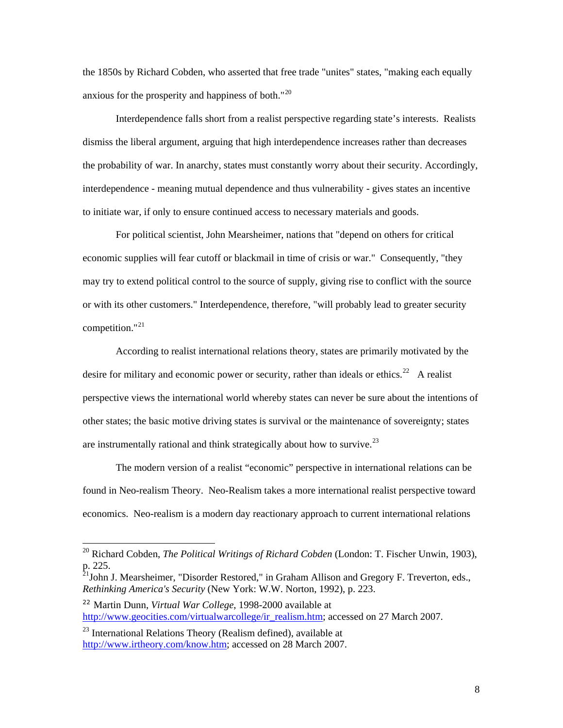the 1850s by Richard Cobden, who asserted that free trade "unites" states, "making each equally anxious for the prosperity and happiness of both."<sup>[20](#page-12-0)</sup>

Interdependence falls short from a realist perspective regarding state's interests. Realists dismiss the liberal argument, arguing that high interdependence increases rather than decreases the probability of war. In anarchy, states must constantly worry about their security. Accordingly, interdependence - meaning mutual dependence and thus vulnerability - gives states an incentive to initiate war, if only to ensure continued access to necessary materials and goods.

For political scientist, John Mearsheimer, nations that "depend on others for critical economic supplies will fear cutoff or blackmail in time of crisis or war." Consequently, "they may try to extend political control to the source of supply, giving rise to conflict with the source or with its other customers." Interdependence, therefore, "will probably lead to greater security competition."[21](#page-12-1)

According to realist international relations theory, [states](http://en.wikipedia.org/wiki/States) are primarily motivated by the desire for military and economic power or security, rather than ideals or ethics.<sup>[22](#page-12-2)</sup> A realist perspective views the international world whereby states can never be sure about the intentions of other states; the basic motive driving states is survival or the maintenance of sovereignty; states are instrumentally rational and think strategically about how to survive.<sup>[23](#page-12-3)</sup>

The modern version of a realist "economic" perspective in international relations can be found in Neo-realism Theory. Neo-Realism takes a more international realist perspective toward economics. Neo-realism is a modern day reactionary approach to current international relations

<span id="page-12-0"></span><sup>20</sup> Richard Cobden, *The Political Writings of Richard Cobden* (London: T. Fischer Unwin, 1903), p. 225.

<span id="page-12-1"></span> $2^{1}$ John J. Mearsheimer, "Disorder Restored," in Graham Allison and Gregory F. Treverton, eds., *Rethinking America's Security* (New York: W.W. Norton, 1992), p. 223.

<span id="page-12-2"></span><sup>22</sup> Martin Dunn, *Virtual War College*, 1998-2000 available at [http://www.geocities.com/virtualwarcollege/ir\\_realism.htm](http://www.geocities.com/virtualwarcollege/ir_realism.htm); accessed on 27 March 2007.

<span id="page-12-3"></span><sup>&</sup>lt;sup>23</sup> International Relations Theory (Realism defined), available at [http://www.irtheory.com/know.htm;](http://www.irtheory.com/know.htm) accessed on 28 March 2007.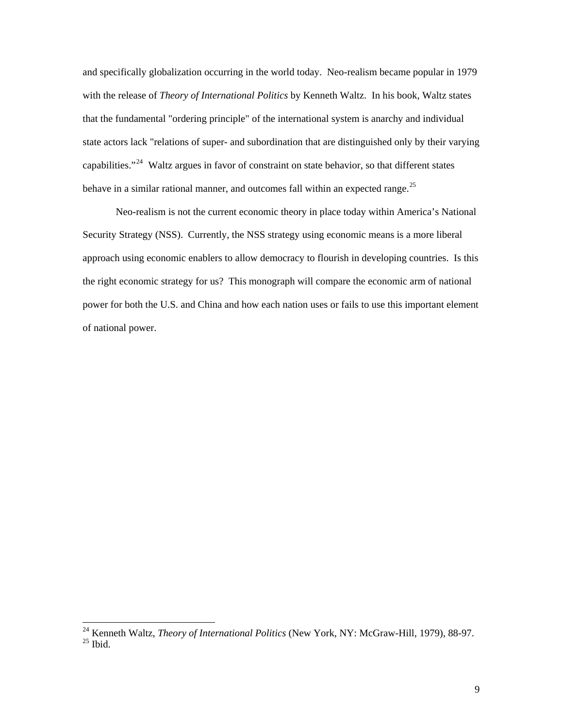and specifically globalization occurring in the world today. Neo-realism became popular in 1979 with the release of *Theory of International Politics* by Kenneth Waltz. In his book, Waltz states that the fundamental "ordering principle" of the international system is [anarchy](http://en.wikipedia.org/wiki/Anarchy_in_international_relations) and individual state actors lack "relations of super- and subordination that are distinguished only by their varying capabilities."<sup>[24](#page-13-0)</sup> Waltz argues in favor of constraint on state behavior, so that different states behave in a similar rational manner, and outcomes fall within an expected range.<sup>[25](#page-13-1)</sup>

Neo-realism is not the current economic theory in place today within America's National Security Strategy (NSS). Currently, the NSS strategy using economic means is a more liberal approach using economic enablers to allow democracy to flourish in developing countries. Is this the right economic strategy for us? This monograph will compare the economic arm of national power for both the U.S. and China and how each nation uses or fails to use this important element of national power.

<span id="page-13-1"></span><span id="page-13-0"></span><sup>24</sup> Kenneth Waltz, *Theory of International Politics* (New York, NY: [McGraw-Hill,](http://en.wikipedia.org/wiki/McGraw-Hill) 1979), 88-97.  $25$  Ibid.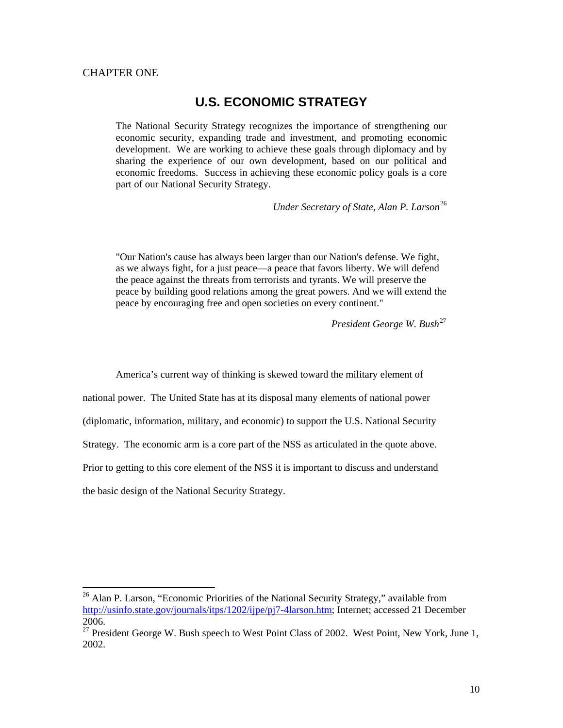#### <span id="page-14-0"></span>CHAPTER ONE

1

## **U.S. ECONOMIC STRATEGY**

The National Security Strategy recognizes the importance of strengthening our economic security, expanding trade and investment, and promoting economic development. We are working to achieve these goals through diplomacy and by sharing the experience of our own development, based on our political and economic freedoms. Success in achieving these economic policy goals is a core part of our National Security Strategy.

*Under Secretary of State, Alan P. Larson*[26](#page-14-1)

"Our Nation's cause has always been larger than our Nation's defense. We fight, as we always fight, for a just peace—a peace that favors liberty. We will defend the peace against the threats from terrorists and tyrants. We will preserve the peace by building good relations among the great powers. And we will extend the peace by encouraging free and open societies on every continent."

*President George W. Bush*[27](#page-14-2)

 America's current way of thinking is skewed toward the military element of national power. The United State has at its disposal many elements of national power (diplomatic, information, military, and economic) to support the U.S. National Security Strategy. The economic arm is a core part of the NSS as articulated in the quote above. Prior to getting to this core element of the NSS it is important to discuss and understand the basic design of the National Security Strategy.

<span id="page-14-1"></span><sup>&</sup>lt;sup>26</sup> Alan P. Larson, "Economic Priorities of the National Security Strategy," available from [http://usinfo.state.gov/journals/itps/1202/ijpe/pj7-4larson.htm;](http://usinfo.state.gov/journals/itps/1202/ijpe/pj7-4larson.htm) Internet; accessed 21 December 2006.

<span id="page-14-2"></span> $27$  President George W. Bush speech to West Point Class of 2002. West Point, New York, June 1, 2002.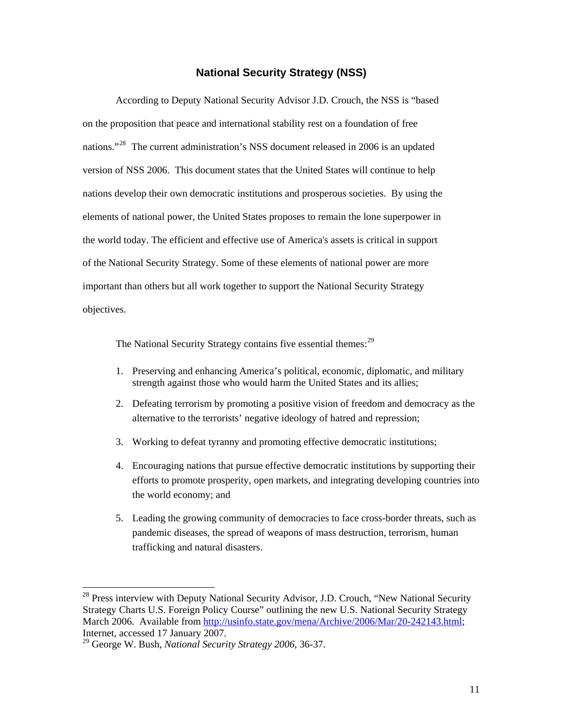#### **National Security Strategy (NSS)**

<span id="page-15-0"></span>According to Deputy National Security Advisor J.D. Crouch, the NSS is "based on the proposition that peace and international stability rest on a foundation of free nations."<sup>[28](#page-15-1)</sup> The current administration's NSS document released in 2006 is an updated version of NSS 2006. This document states that the United States will continue to help nations develop their own democratic institutions and prosperous societies. By using the elements of national power, the United States proposes to remain the lone superpower in the world today. The efficient and effective use of America's assets is critical in support of the National Security Strategy. Some of these elements of national power are more important than others but all work together to support the National Security Strategy objectives.

The National Security Strategy contains five essential themes:<sup>[29](#page-15-2)</sup>

- 1. Preserving and enhancing America's political, economic, diplomatic, and military strength against those who would harm the United States and its allies;
- 2. Defeating terrorism by promoting a positive vision of freedom and democracy as the alternative to the terrorists' negative ideology of hatred and repression;
- 3. Working to defeat tyranny and promoting effective democratic institutions;
- 4. Encouraging nations that pursue effective democratic institutions by supporting their efforts to promote prosperity, open markets, and integrating developing countries into the world economy; and
- 5. Leading the growing community of democracies to face cross-border threats, such as pandemic diseases, the spread of weapons of mass destruction, terrorism, human trafficking and natural disasters.

<span id="page-15-1"></span> $28$  Press interview with Deputy National Security Advisor, J.D. Crouch, "New National Security Strategy Charts U.S. Foreign Policy Course" outlining the new U.S. National Security Strategy March 2006. Available from [http://usinfo.state.gov/mena/Archive/2006/Mar/20-242143.html;](http://usinfo.state.gov/mena/Archive/2006/Mar/20-242143.html) Internet, accessed 17 January 2007.

<span id="page-15-2"></span><sup>29</sup> George W. Bush, *National Security Strategy 2006*, 36-37.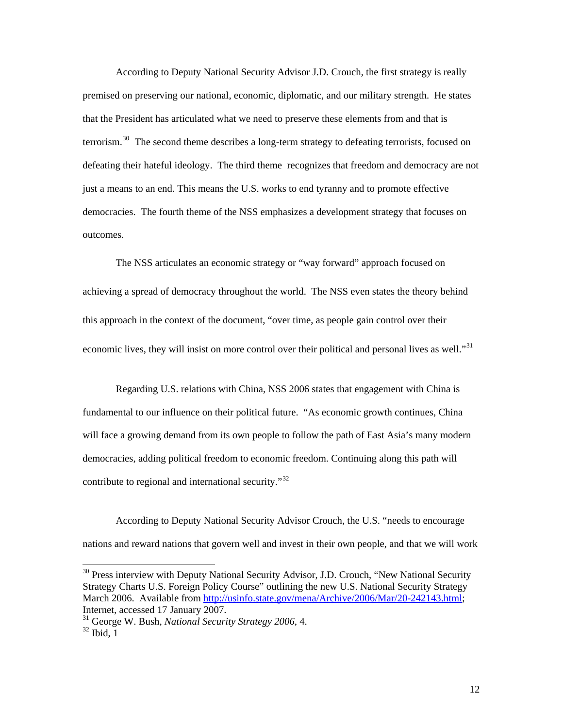According to Deputy National Security Advisor J.D. Crouch, the first strategy is really premised on preserving our national, economic, diplomatic, and our military strength. He states that the President has articulated what we need to preserve these elements from and that is terrorism.<sup>[30](#page-16-0)</sup> The second theme describes a long-term strategy to defeating terrorists, focused on defeating their hateful ideology. The third theme recognizes that freedom and democracy are not just a means to an end. This means the U.S. works to end tyranny and to promote effective democracies. The fourth theme of the NSS emphasizes a development strategy that focuses on outcomes.

The NSS articulates an economic strategy or "way forward" approach focused on achieving a spread of democracy throughout the world. The NSS even states the theory behind this approach in the context of the document, "over time, as people gain control over their economic lives, they will insist on more control over their political and personal lives as well."<sup>[31](#page-16-1)</sup>

Regarding U.S. relations with China, NSS 2006 states that engagement with China is fundamental to our influence on their political future. "As economic growth continues, China will face a growing demand from its own people to follow the path of East Asia's many modern democracies, adding political freedom to economic freedom. Continuing along this path will contribute to regional and international security."<sup>[32](#page-16-2)</sup>

According to Deputy National Security Advisor Crouch, the U.S. "needs to encourage nations and reward nations that govern well and invest in their own people, and that we will work

 $\overline{\phantom{a}}$ 

<span id="page-16-0"></span> $30$  Press interview with Deputy National Security Advisor, J.D. Crouch, "New National Security Strategy Charts U.S. Foreign Policy Course" outlining the new U.S. National Security Strategy March 2006. Available from [http://usinfo.state.gov/mena/Archive/2006/Mar/20-242143.html;](http://usinfo.state.gov/mena/Archive/2006/Mar/20-242143.html) Internet, accessed 17 January 2007.

<span id="page-16-1"></span><sup>31</sup> George W. Bush, *National Security Strategy 2006*, 4.

<span id="page-16-2"></span> $32$  Ibid, 1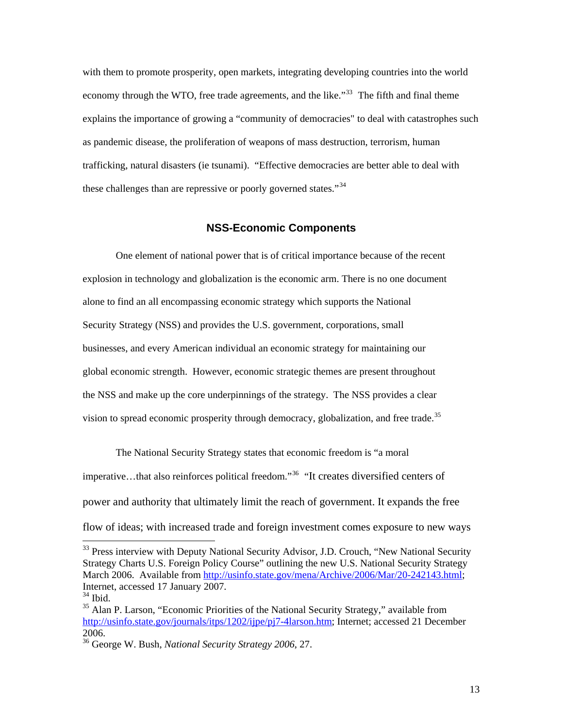<span id="page-17-0"></span>with them to promote prosperity, open markets, integrating developing countries into the world economy through the WTO, free trade agreements, and the like.<sup>[33](#page-17-1)</sup> The fifth and final theme explains the importance of growing a "community of democracies" to deal with catastrophes such as pandemic disease, the proliferation of weapons of mass destruction, terrorism, human trafficking, natural disasters (ie tsunami). "Effective democracies are better able to deal with these challenges than are repressive or poorly governed states."<sup>[34](#page-17-2)</sup>

### **NSS-Economic Components**

One element of national power that is of critical importance because of the recent explosion in technology and globalization is the economic arm. There is no one document alone to find an all encompassing economic strategy which supports the National Security Strategy (NSS) and provides the U.S. government, corporations, small businesses, and every American individual an economic strategy for maintaining our global economic strength. However, economic strategic themes are present throughout the NSS and make up the core underpinnings of the strategy. The NSS provides a clear vision to spread economic prosperity through democracy, globalization, and free trade.<sup>[35](#page-17-3)</sup>

The National Security Strategy states that economic freedom is "a moral imperative…that also reinforces political freedom."[36](#page-17-4) "It creates diversified centers of power and authority that ultimately limit the reach of government. It expands the free flow of ideas; with increased trade and foreign investment comes exposure to new ways

<span id="page-17-1"></span><sup>&</sup>lt;sup>33</sup> Press interview with Deputy National Security Advisor, J.D. Crouch, "New National Security Strategy Charts U.S. Foreign Policy Course" outlining the new U.S. National Security Strategy March 2006. Available from [http://usinfo.state.gov/mena/Archive/2006/Mar/20-242143.html;](http://usinfo.state.gov/mena/Archive/2006/Mar/20-242143.html) Internet, accessed 17 January 2007.

<span id="page-17-2"></span> $34$  Ibid.

<span id="page-17-3"></span><sup>&</sup>lt;sup>35</sup> Alan P. Larson, "Economic Priorities of the National Security Strategy," available from [http://usinfo.state.gov/journals/itps/1202/ijpe/pj7-4larson.htm;](http://usinfo.state.gov/journals/itps/1202/ijpe/pj7-4larson.htm) Internet; accessed 21 December 2006.

<span id="page-17-4"></span><sup>36</sup> George W. Bush, *National Security Strategy 2006*, 27.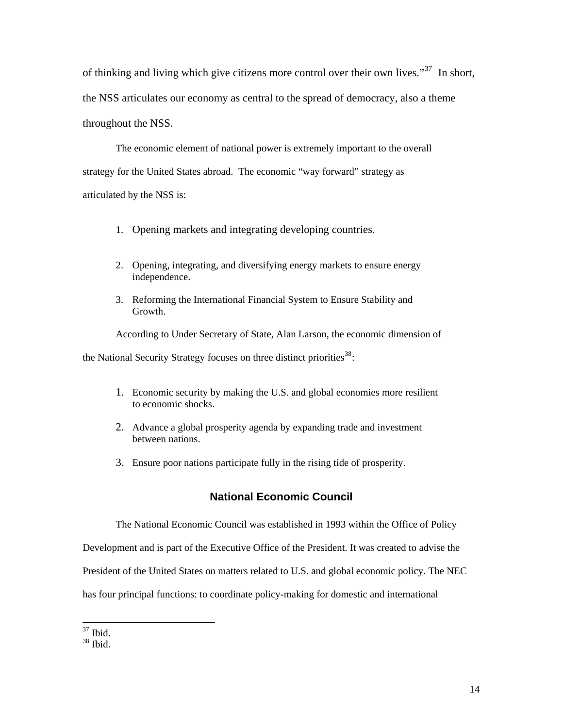<span id="page-18-0"></span>of thinking and living which give citizens more control over their own lives."<sup>[37](#page-18-1)</sup> In short, the NSS articulates our economy as central to the spread of democracy, also a theme throughout the NSS.

The economic element of national power is extremely important to the overall strategy for the United States abroad. The economic "way forward" strategy as articulated by the NSS is:

- 1. Opening markets and integrating developing countries.
- 2. Opening, integrating, and diversifying energy markets to ensure energy independence.
- 3. Reforming the International Financial System to Ensure Stability and Growth.

According to Under Secretary of State, Alan Larson, the economic dimension of the National Security Strategy focuses on three distinct priorities<sup>[38](#page-18-2)</sup>:

- 1. Economic security by making the U.S. and global economies more resilient to economic shocks.
- 2. Advance a global prosperity agenda by expanding trade and investment between nations.
- 3. Ensure poor nations participate fully in the rising tide of prosperity.

## **National Economic Council**

 The National Economic Council was established in 1993 within the Office of Policy Development and is part of the Executive Office of the President. It was created to advise the President of the United States on matters related to U.S. and global economic policy. The NEC has four principal functions: to coordinate policy-making for domestic and international

l  $37$  Ibid.

<span id="page-18-2"></span><span id="page-18-1"></span><sup>38</sup> Ibid.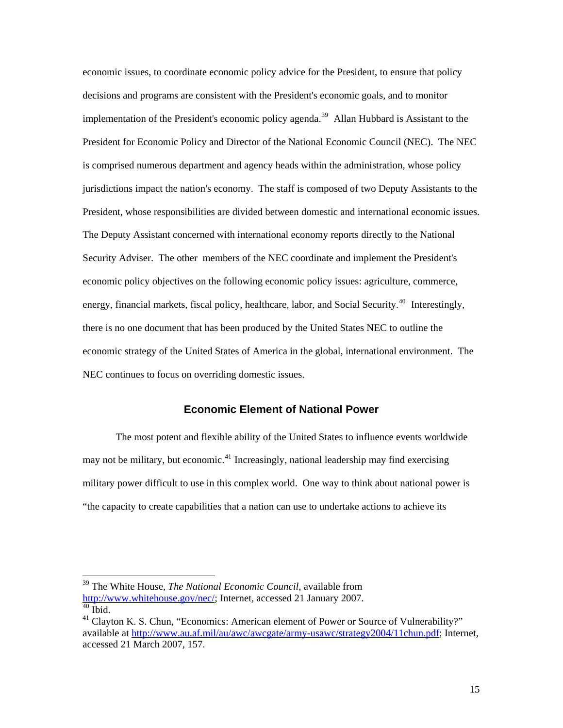<span id="page-19-0"></span>economic issues, to coordinate economic policy advice for the President, to ensure that policy decisions and programs are consistent with the President's economic goals, and to monitor implementation of the President's economic policy agenda.<sup>[39](#page-19-1)</sup> Allan Hubbard is Assistant to the President for Economic Policy and Director of the National Economic Council (NEC). The NEC is comprised numerous department and agency heads within the administration, whose policy jurisdictions impact the nation's economy. The staff is composed of two Deputy Assistants to the President, whose responsibilities are divided between domestic and international economic issues. The Deputy Assistant concerned with international economy reports directly to the National Security Adviser. The other members of the NEC coordinate and implement the President's economic policy objectives on the following economic policy issues: agriculture, commerce, energy, financial markets, fiscal policy, healthcare, labor, and Social Security.<sup>[40](#page-19-2)</sup> Interestingly, there is no one document that has been produced by the United States NEC to outline the economic strategy of the United States of America in the global, international environment. The NEC continues to focus on overriding domestic issues.

## **Economic Element of National Power**

The most potent and flexible ability of the United States to influence events worldwide may not be military, but economic.<sup>[41](#page-19-3)</sup> Increasingly, national leadership may find exercising military power difficult to use in this complex world. One way to think about national power is "the capacity to create capabilities that a nation can use to undertake actions to achieve its

<span id="page-19-1"></span><sup>39</sup> The White House, *The National Economic Council,* available from [http://www.whitehouse.gov/nec/;](http://www.whitehouse.gov/nec/) Internet, accessed 21 January 2007.

<span id="page-19-2"></span> $40$  Ibid.

<span id="page-19-3"></span><sup>&</sup>lt;sup>41</sup> Clayton K. S. Chun, "Economics: American element of Power or Source of Vulnerability?" available at [http://www.au.af.mil/au/awc/awcgate/army-usawc/strategy2004/11chun.pdf;](http://www.au.af.mil/au/awc/awcgate/army-usawc/strategy2004/11chun.pdf) Internet, accessed 21 March 2007, 157.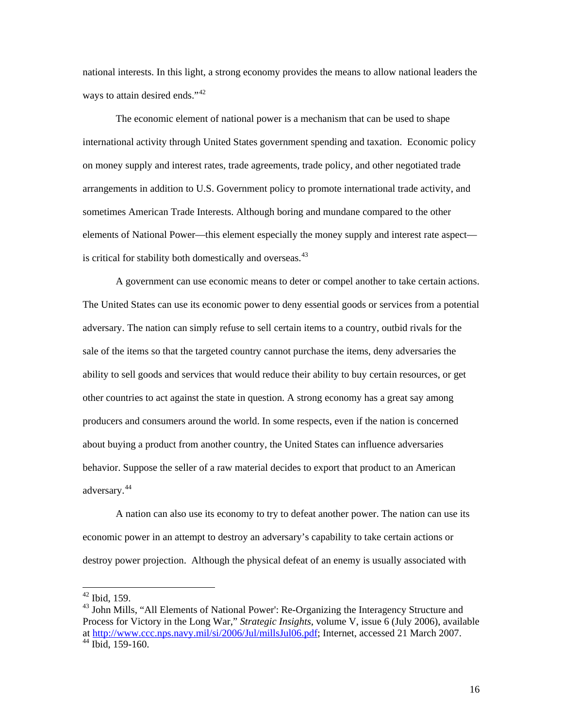national interests. In this light, a strong economy provides the means to allow national leaders the ways to attain desired ends."<sup>[42](#page-20-0)</sup>

The economic element of national power is a mechanism that can be used to shape international activity through United States government spending and taxation. Economic policy on money supply and interest rates, trade agreements, trade policy, and other negotiated trade arrangements in addition to U.S. Government policy to promote international trade activity, and sometimes American Trade Interests. Although boring and mundane compared to the other elements of National Power—this element especially the money supply and interest rate aspect— is critical for stability both domestically and overseas.<sup>[43](#page-20-1)</sup>

A government can use economic means to deter or compel another to take certain actions. The United States can use its economic power to deny essential goods or services from a potential adversary. The nation can simply refuse to sell certain items to a country, outbid rivals for the sale of the items so that the targeted country cannot purchase the items, deny adversaries the ability to sell goods and services that would reduce their ability to buy certain resources, or get other countries to act against the state in question. A strong economy has a great say among producers and consumers around the world. In some respects, even if the nation is concerned about buying a product from another country, the United States can influence adversaries behavior. Suppose the seller of a raw material decides to export that product to an American adversary.[44](#page-20-2)

A nation can also use its economy to try to defeat another power. The nation can use its economic power in an attempt to destroy an adversary's capability to take certain actions or destroy power projection. Although the physical defeat of an enemy is usually associated with

 $42$  Ibid, 159.

<span id="page-20-2"></span><span id="page-20-1"></span><span id="page-20-0"></span><sup>&</sup>lt;sup>43</sup> John Mills, "All Elements of National Power': Re-Organizing the Interagency Structure and Process for Victory in the Long War," *Strategic Insights*, volume V, issue 6 (July 2006), available at <http://www.ccc.nps.navy.mil/si/2006/Jul/millsJul06.pdf>; Internet, accessed 21 March 2007.  $44$  Ibid, 159-160.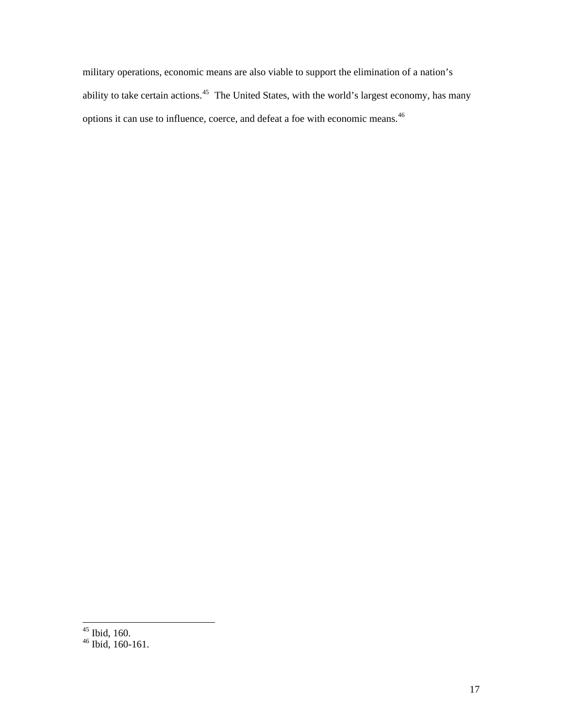military operations, economic means are also viable to support the elimination of a nation's ability to take certain actions.<sup>[45](#page-21-0)</sup> The United States, with the world's largest economy, has many options it can use to influence, coerce, and defeat a foe with economic means.[46](#page-21-1)

<span id="page-21-0"></span> $45$  Ibid, 160.

<span id="page-21-1"></span> $46$  Ibid, 160-161.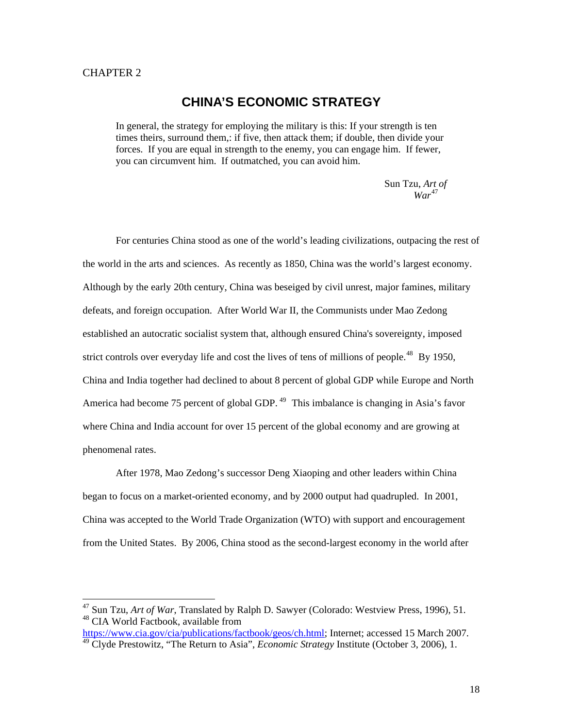#### <span id="page-22-0"></span>CHAPTER 2

l

## **CHINA'S ECONOMIC STRATEGY**

In general, the strategy for employing the military is this: If your strength is ten times theirs, surround them,: if five, then attack them; if double, then divide your forces. If you are equal in strength to the enemy, you can engage him. If fewer, you can circumvent him. If outmatched, you can avoid him.

> Sun Tzu, *Art of*  47 *War*

For centuries China stood as one of the world's leading civilizations, outpacing the rest of the world in the arts and sciences. As recently as 1850, China was the world's largest economy. Although by the early 20th century, China was beseiged by civil unrest, major famines, military defeats, and foreign occupation. After World War II, the Communists under Mao Zedong established an autocratic socialist system that, although ensured China's sovereignty, imposed strict controls over everyday life and cost the lives of tens of millions of people.<sup>48</sup> By 1950, China and India together had declined to about 8 percent of global GDP while Europe and North America had become 75 percent of global GDP.<sup>49</sup> This imbalance is changing in Asia's favor where China and India account for over 15 percent of the global economy and are growing at phenomenal rates.

After 1978, Mao Zedong's successor Deng Xiaoping and other leaders within China began to focus on a market-oriented economy, and by 2000 output had quadrupled. In 2001, China was accepted to the World Trade Organization (WTO) with support and encouragement from the United States. By 2006, China stood as the second-largest economy in the world after

<sup>47</sup> Sun Tzu, *Art of War*, Translated by Ralph D. Sawyer (Colorado: Westview Press, 1996), 51. 48 CIA World Factbook, available from

[https://www.cia.gov/cia/publications/factbook/geos/ch.html;](https://www.cia.gov/cia/publications/factbook/geos/ch.html) Internet; accessed 15 March 2007. <sup>49</sup> Clyde Prestowitz, "The Return to Asia", *Economic Strategy* Institute (October 3, 2006), 1.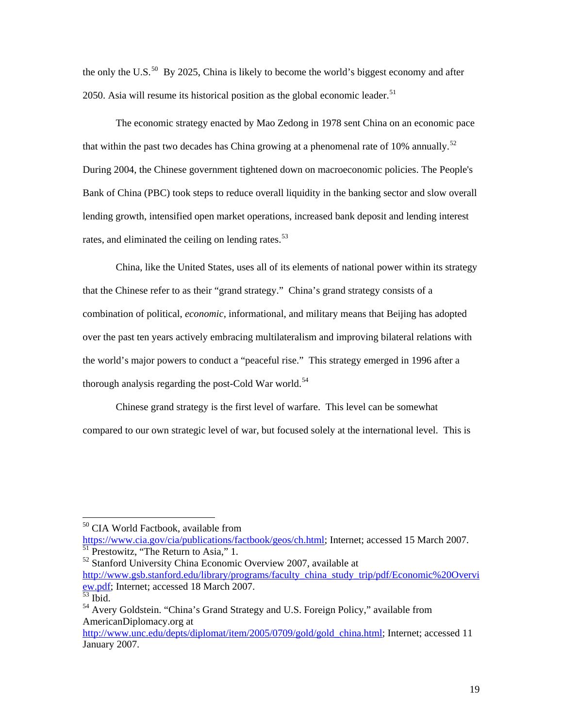the only the U.S.<sup>[50](#page-23-0)</sup> By 2025, China is likely to become the world's biggest economy and after 2050. Asia will resume its historical position as the global economic leader.<sup>[51](#page-23-1)</sup>

The economic strategy enacted by Mao Zedong in 1978 sent China on an economic pace that within the past two decades has China growing at a phenomenal rate of 10% annually.<sup>[52](#page-23-2)</sup> During 2004, the Chinese government tightened down on macroeconomic policies. The People's Bank of China (PBC) took steps to reduce overall liquidity in the banking sector and slow overall lending growth, intensified open market operations, increased bank deposit and lending interest rates, and eliminated the ceiling on lending rates.<sup>[53](#page-23-3)</sup>

China, like the United States, uses all of its elements of national power within its strategy that the Chinese refer to as their "grand strategy." China's grand strategy consists of a combination of political, *economic,* informational, and military means that Beijing has adopted over the past ten years actively embracing multilateralism and improving bilateral relations with the world's major powers to conduct a "peaceful rise." This strategy emerged in 1996 after a thorough analysis regarding the post-Cold War world.<sup>[54](#page-23-4)</sup>

Chinese grand strategy is the first level of warfare. This level can be somewhat compared to our own strategic level of war, but focused solely at the international level. This is

 $\overline{\phantom{a}}$ 

[https://www.cia.gov/cia/publications/factbook/geos/ch.html;](https://www.cia.gov/cia/publications/factbook/geos/ch.html) Internet; accessed 15 March 2007.

<span id="page-23-1"></span><sup>51</sup> Prestowitz, "The Return to Asia," 1.

<span id="page-23-2"></span>52 Stanford University China Economic Overview 2007, available at [http://www.gsb.stanford.edu/library/programs/faculty\\_china\\_study\\_trip/pdf/Economic%20Overvi](http://www.gsb.stanford.edu/library/programs/faculty_china_study_trip/pdf/Economic%20Overview.pdf) [ew.pdf](http://www.gsb.stanford.edu/library/programs/faculty_china_study_trip/pdf/Economic%20Overview.pdf); Internet; accessed 18 March 2007.  $\overline{53}$  Ibid.

<span id="page-23-0"></span><sup>50</sup> CIA World Factbook, available from

<span id="page-23-4"></span><span id="page-23-3"></span><sup>&</sup>lt;sup>54</sup> Avery Goldstein. "China's Grand Strategy and U.S. Foreign Policy," available from AmericanDiplomacy.org at

[http://www.unc.edu/depts/diplomat/item/2005/0709/gold/gold\\_china.html;](http://www.unc.edu/depts/diplomat/item/2005/0709/gold/gold_china.html) Internet; accessed 11 January 2007.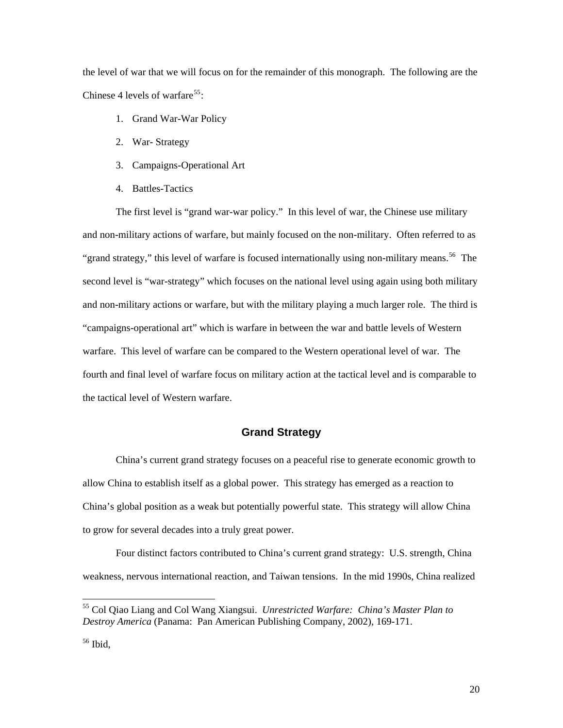<span id="page-24-0"></span>the level of war that we will focus on for the remainder of this monograph. The following are the Chinese 4 levels of warfare<sup>[55](#page-24-1)</sup>:

- 1. Grand War-War Policy
- 2. War- Strategy
- 3. Campaigns-Operational Art
- 4. Battles-Tactics

The first level is "grand war-war policy." In this level of war, the Chinese use military and non-military actions of warfare, but mainly focused on the non-military. Often referred to as "grand strategy," this level of warfare is focused internationally using non-military means.<sup>[56](#page-24-2)</sup> The second level is "war-strategy" which focuses on the national level using again using both military and non-military actions or warfare, but with the military playing a much larger role. The third is "campaigns-operational art" which is warfare in between the war and battle levels of Western warfare. This level of warfare can be compared to the Western operational level of war. The fourth and final level of warfare focus on military action at the tactical level and is comparable to the tactical level of Western warfare.

### **Grand Strategy**

China's current grand strategy focuses on a peaceful rise to generate economic growth to allow China to establish itself as a global power. This strategy has emerged as a reaction to China's global position as a weak but potentially powerful state. This strategy will allow China to grow for several decades into a truly great power.

Four distinct factors contributed to China's current grand strategy: U.S. strength, China weakness, nervous international reaction, and Taiwan tensions. In the mid 1990s, China realized

<span id="page-24-1"></span><sup>55</sup> Col Qiao Liang and Col Wang Xiangsui. *Unrestricted Warfare: China's Master Plan to Destroy America* (Panama: Pan American Publishing Company, 2002), 169-171.

<span id="page-24-2"></span><sup>56</sup> Ibid,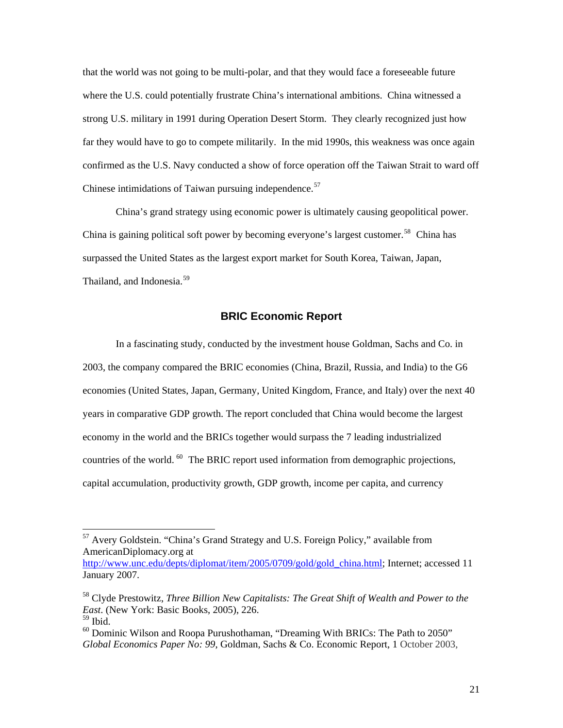<span id="page-25-0"></span>that the world was not going to be multi-polar, and that they would face a foreseeable future where the U.S. could potentially frustrate China's international ambitions. China witnessed a strong U.S. military in 1991 during Operation Desert Storm. They clearly recognized just how far they would have to go to compete militarily. In the mid 1990s, this weakness was once again confirmed as the U.S. Navy conducted a show of force operation off the Taiwan Strait to ward off Chinese intimidations of Taiwan pursuing independence. $57$ 

 China's grand strategy using economic power is ultimately causing geopolitical power. China is gaining political soft power by becoming everyone's largest customer.<sup>[58](#page-25-2)</sup> China has surpassed the United States as the largest export market for South Korea, Taiwan, Japan, Thailand, and Indonesia.<sup>[59](#page-25-3)</sup>

## **BRIC Economic Report**

In a fascinating study, conducted by the investment house Goldman, Sachs and Co. in 2003, the company compared the BRIC economies (China, Brazil, Russia, and India) to the G6 economies (United States, Japan, Germany, United Kingdom, France, and Italy) over the next 40 years in comparative GDP growth. The report concluded that China would become the largest economy in the world and the BRICs together would surpass the 7 leading industrialized countries of the world.  $^{60}$  $^{60}$  $^{60}$  The BRIC report used information from demographic projections, capital accumulation, productivity growth, GDP growth, income per capita, and currency

<span id="page-25-1"></span><sup>&</sup>lt;sup>57</sup> Avery Goldstein. "China's Grand Strategy and U.S. Foreign Policy," available from AmericanDiplomacy.org at

[http://www.unc.edu/depts/diplomat/item/2005/0709/gold/gold\\_china.html;](http://www.unc.edu/depts/diplomat/item/2005/0709/gold/gold_china.html) Internet; accessed 11 January 2007.

<span id="page-25-2"></span><sup>58</sup> Clyde Prestowitz, *Three Billion New Capitalists: The Great Shift of Wealth and Power to the East*. (New York: Basic Books, 2005), 226.

<span id="page-25-3"></span><sup>59</sup> Ibid.

<span id="page-25-4"></span> $60$  Dominic Wilson and Roopa Purushothaman, "Dreaming With BRICs: The Path to 2050" *Global Economics Paper No: 99*, Goldman, Sachs & Co. Economic Report, 1 October 2003,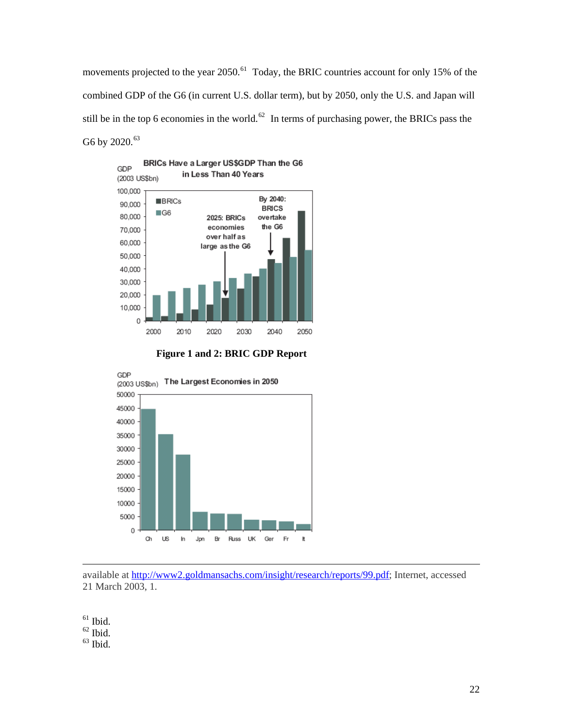movements projected to the year 2050.<sup>[61](#page-26-0)</sup> Today, the BRIC countries account for only 15% of the combined GDP of the G6 (in current U.S. dollar term), but by 2050, only the U.S. and Japan will still be in the top 6 economies in the world.<sup>[62](#page-26-1)</sup> In terms of purchasing power, the BRICs pass the G6 by 2020. $^{63}$  $^{63}$  $^{63}$ 







available at<http://www2.goldmansachs.com/insight/research/reports/99.pdf>; Internet, accessed 21 March 2003, 1.

<span id="page-26-0"></span> $^{61}$  Ibid.

-

<span id="page-26-1"></span> $62$  Ibid.

<span id="page-26-2"></span> $^{63}$  Ibid.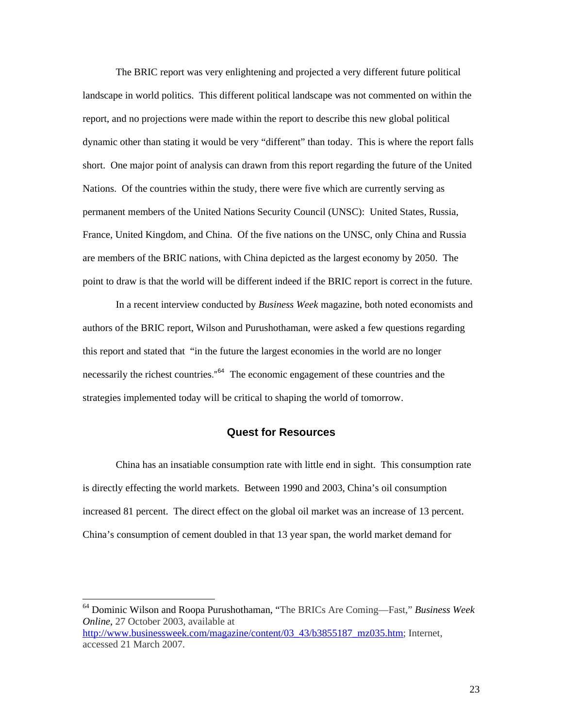<span id="page-27-0"></span> The BRIC report was very enlightening and projected a very different future political landscape in world politics. This different political landscape was not commented on within the report, and no projections were made within the report to describe this new global political dynamic other than stating it would be very "different" than today. This is where the report falls short. One major point of analysis can drawn from this report regarding the future of the United Nations. Of the countries within the study, there were five which are currently serving as permanent members of the United Nations Security Council (UNSC): United States, Russia, France, United Kingdom, and China. Of the five nations on the UNSC, only China and Russia are members of the BRIC nations, with China depicted as the largest economy by 2050. The point to draw is that the world will be different indeed if the BRIC report is correct in the future.

In a recent interview conducted by *Business Week* magazine, both noted economists and authors of the BRIC report, Wilson and Purushothaman, were asked a few questions regarding this report and stated that "in the future the largest economies in the world are no longer necessarily the richest countries."<sup>[64](#page-27-1)</sup> The economic engagement of these countries and the strategies implemented today will be critical to shaping the world of tomorrow.

#### **Quest for Resources**

China has an insatiable consumption rate with little end in sight. This consumption rate is directly effecting the world markets. Between 1990 and 2003, China's oil consumption increased 81 percent. The direct effect on the global oil market was an increase of 13 percent. China's consumption of cement doubled in that 13 year span, the world market demand for

<span id="page-27-1"></span><sup>64</sup> Dominic Wilson and Roopa Purushothaman, "The BRICs Are Coming—Fast," *Business Week Online*, 27 October 2003, available at

[http://www.businessweek.com/magazine/content/03\\_43/b3855187\\_mz035.htm;](http://www.businessweek.com/magazine/content/03_43/b3855187_mz035.htm) Internet, accessed 21 March 2007.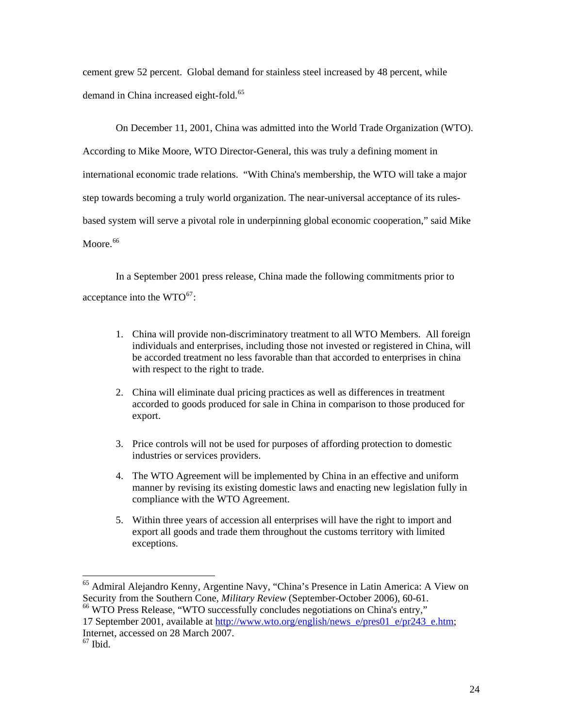cement grew 52 percent. Global demand for stainless steel increased by 48 percent, while demand in China increased eight-fold.<sup>[65](#page-28-0)</sup>

On December 11, 2001, China was admitted into the World Trade Organization (WTO). According to Mike Moore, WTO Director-General, this was truly a defining moment in international economic trade relations. "With China's membership, the WTO will take a major step towards becoming a truly world organization. The near-universal acceptance of its rulesbased system will serve a pivotal role in underpinning global economic cooperation," said Mike Moore.<sup>[66](#page-28-1)</sup>

In a September 2001 press release, China made the following commitments prior to acceptance into the  $WTO^{67}$  $WTO^{67}$  $WTO^{67}$ :

- 1. China will provide non-discriminatory treatment to all WTO Members. All foreign individuals and enterprises, including those not invested or registered in China, will be accorded treatment no less favorable than that accorded to enterprises in china with respect to the right to trade.
- 2. China will eliminate dual pricing practices as well as differences in treatment accorded to goods produced for sale in China in comparison to those produced for export.
- 3. Price controls will not be used for purposes of affording protection to domestic industries or services providers.
- 4. The WTO Agreement will be implemented by China in an effective and uniform manner by revising its existing domestic laws and enacting new legislation fully in compliance with the WTO Agreement.
- 5. Within three years of accession all enterprises will have the right to import and export all goods and trade them throughout the customs territory with limited exceptions.

<span id="page-28-0"></span><sup>&</sup>lt;sup>65</sup> Admiral Alejandro Kenny, Argentine Navy, "China's Presence in Latin America: A View on Security from the Southern Cone, *Military Review* (September-October 2006), 60-61. 66 WTO Press Release, "WTO successfully concludes negotiations on China's entry,"

<span id="page-28-1"></span><sup>17</sup> September 2001, available at [http://www.wto.org/english/news\\_e/pres01\\_e/pr243\\_e.htm;](http://www.wto.org/english/news_e/pres01_e/pr243_e.htm) Internet, accessed on 28 March 2007.

<span id="page-28-2"></span> $67$  Ibid.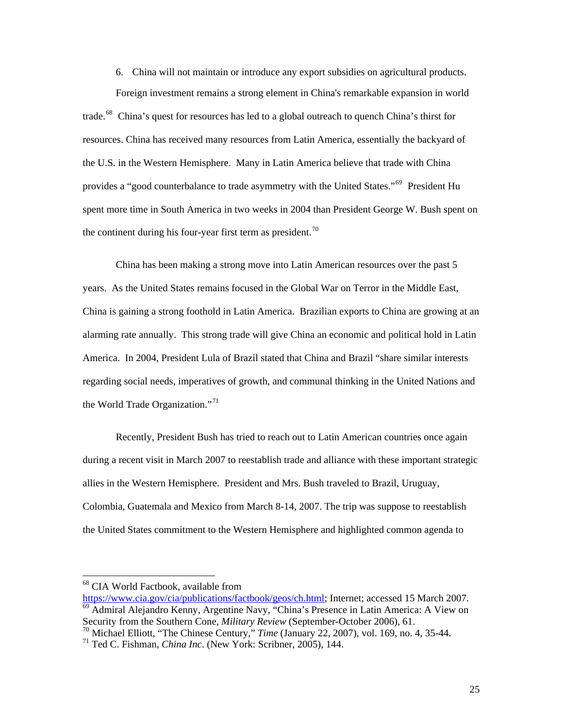6. China will not maintain or introduce any export subsidies on agricultural products.

 Foreign investment remains a strong element in China's remarkable expansion in world trade.<sup>[68](#page-29-0)</sup> China's quest for resources has led to a global outreach to quench China's thirst for resources. China has received many resources from Latin America, essentially the backyard of the U.S. in the Western Hemisphere. Many in Latin America believe that trade with China provides a "good counterbalance to trade asymmetry with the United States."<sup>[69](#page-29-1)</sup> President Hu spent more time in South America in two weeks in 2004 than President George W. Bush spent on the continent during his four-year first term as president.<sup>[70](#page-29-2)</sup>

China has been making a strong move into Latin American resources over the past 5 years. As the United States remains focused in the Global War on Terror in the Middle East, China is gaining a strong foothold in Latin America. Brazilian exports to China are growing at an alarming rate annually. This strong trade will give China an economic and political hold in Latin America. In 2004, President Lula of Brazil stated that China and Brazil "share similar interests regarding social needs, imperatives of growth, and communal thinking in the United Nations and the World Trade Organization."<sup>[71](#page-29-3)</sup>

Recently, President Bush has tried to reach out to Latin American countries once again during a recent visit in March 2007 to reestablish trade and alliance with these important strategic allies in the Western Hemisphere. President and Mrs. Bush traveled to [Brazil](http://www.state.gov/p/wha/ci/br/), [Uruguay](http://www.state.gov/p/wha/ci/uy/), [Colombia](http://www.state.gov/p/wha/ci/co/), [Guatemala](http://www.state.gov/p/wha/ci/gt/) and [Mexico](http://www.state.gov/p/wha/ci/mx/) from March 8-14, 2007. The trip was suppose to reestablish the United States commitment to the Western Hemisphere and highlighted common agenda to

<span id="page-29-0"></span><sup>68</sup> CIA World Factbook, available from

<span id="page-29-1"></span>[https://www.cia.gov/cia/publications/factbook/geos/ch.html;](https://www.cia.gov/cia/publications/factbook/geos/ch.html) Internet; accessed 15 March 2007. 69 Admiral Alejandro Kenny, Argentine Navy, "China's Presence in Latin America: A View on Security from the Southern Cone, *Military Review* (September-October 2006), 61.

<span id="page-29-2"></span><sup>70</sup> Michael Elliott, "The Chinese Century," *Time* (January 22, 2007), vol. 169, no. 4, 35-44.

<span id="page-29-3"></span><sup>71</sup> Ted C. Fishman, *China Inc*. (New York: Scribner, 2005), 144.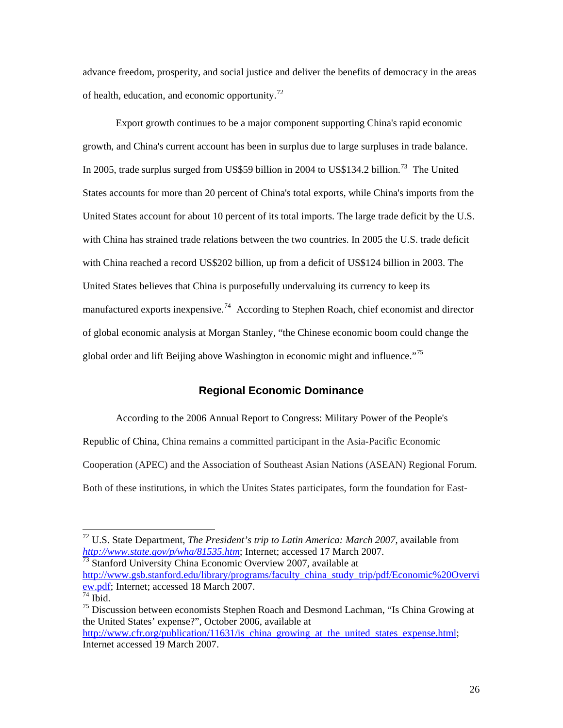<span id="page-30-0"></span>advance freedom, prosperity, and social justice and deliver the benefits of democracy in the areas of health, education, and economic opportunity.<sup>[72](#page-30-1)</sup>

Export growth continues to be a major component supporting China's rapid economic growth, and China's current account has been in surplus due to large surpluses in trade balance. In 2005, trade surplus surged from US\$59 billion in 2004 to US\$134.2 billion.<sup>[73](#page-30-2)</sup> The United States accounts for more than 20 percent of China's total exports, while China's imports from the United States account for about 10 percent of its total imports. The large trade deficit by the U.S. with China has strained trade relations between the two countries. In 2005 the U.S. trade deficit with China reached a record US\$202 billion, up from a deficit of US\$124 billion in 2003. The United States believes that China is purposefully undervaluing its currency to keep its manufactured exports inexpensive.<sup>[74](#page-30-3)</sup> According to Stephen Roach, chief economist and director of global economic analysis at Morgan Stanley, "the Chinese economic boom could change the global order and lift Beijing above Washington in economic might and influence."[75](#page-30-4)

## **Regional Economic Dominance**

 According to the 2006 Annual Report to Congress: Military Power of the People's Republic of China, China remains a committed participant in the Asia-Pacific Economic Cooperation (APEC) and the Association of Southeast Asian Nations (ASEAN) Regional Forum. Both of these institutions, in which the Unites States participates, form the foundation for East-

<span id="page-30-1"></span><sup>72</sup> U.S. State Department, *The President's trip to Latin America: March 2007*, available from *<http://www.state.gov/p/wha/81535.htm>*; Internet; accessed 17 March 2007.

<span id="page-30-2"></span> $\frac{1}{73}$  Stanford University China Economic Overview 2007, available at [http://www.gsb.stanford.edu/library/programs/faculty\\_china\\_study\\_trip/pdf/Economic%20Overvi](http://www.gsb.stanford.edu/library/programs/faculty_china_study_trip/pdf/Economic%20Overview.pdf) [ew.pdf](http://www.gsb.stanford.edu/library/programs/faculty_china_study_trip/pdf/Economic%20Overview.pdf); Internet; accessed 18 March 2007.  $74$  Ibid.

<span id="page-30-4"></span><span id="page-30-3"></span><sup>&</sup>lt;sup>75</sup> Discussion between economists Stephen Roach and Desmond Lachman, "Is China Growing at the United States' expense?", October 2006, available at http://www.cfr.org/publication/11631/is china\_growing\_at\_the\_united\_states\_expense.html;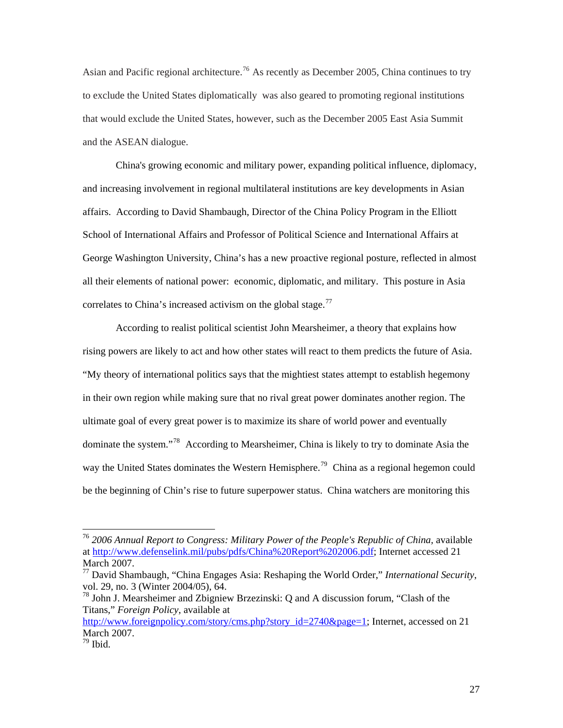Asian and Pacific regional architecture.<sup>[76](#page-31-0)</sup> As recently as December 2005, China continues to try to exclude the United States diplomatically was also geared to promoting regional institutions that would exclude the United States, however, such as the December 2005 East Asia Summit and the ASEAN dialogue.

China's growing economic and military power, expanding political influence, diplomacy, and increasing involvement in regional multilateral institutions are key developments in Asian affairs. According to David Shambaugh, Director of the China Policy Program in the Elliott School of International Affairs and Professor of Political Science and International Affairs at George Washington University, China's has a new proactive regional posture, reflected in almost all their elements of national power: economic, diplomatic, and military. This posture in Asia correlates to China's increased activism on the global stage.<sup>[77](#page-31-1)</sup>

According to realist political scientist John Mearsheimer, a theory that explains how rising powers are likely to act and how other states will react to them predicts the future of Asia. "My theory of international politics says that the mightiest states attempt to establish hegemony in their own region while making sure that no rival great power dominates another region. The ultimate goal of every great power is to maximize its share of world power and eventually dominate the system."[78](#page-31-2) According to Mearsheimer, China is likely to try to dominate Asia the way the United States dominates the Western Hemisphere.<sup>[79](#page-31-3)</sup> China as a regional hegemon could be the beginning of Chin's rise to future superpower status. China watchers are monitoring this

<span id="page-31-0"></span><sup>&</sup>lt;sup>76</sup> 2006 Annual Report to Congress: Military Power of the People's Republic of China, available at [http://www.defenselink.mil/pubs/pdfs/China%20Report%202006.pdf;](http://www.defenselink.mil/pubs/pdfs/China%20Report%202006.pdf) Internet accessed 21 March 2007.

<span id="page-31-1"></span><sup>77</sup> David Shambaugh, "China Engages Asia: Reshaping the World Order," *International Security*, vol. 29, no. 3 (Winter 2004/05), 64.

<span id="page-31-2"></span> $^{78}$  John J. Mearsheimer and Zbigniew Brzezinski: O and A discussion forum, "Clash of the Titans," *Foreign Policy*, available at

[http://www.foreignpolicy.com/story/cms.php?story\\_id=2740&page=1](http://www.foreignpolicy.com/story/cms.php?story_id=2740&page=1); Internet, accessed on 21 March 2007.

<span id="page-31-3"></span><sup>79</sup> Ibid.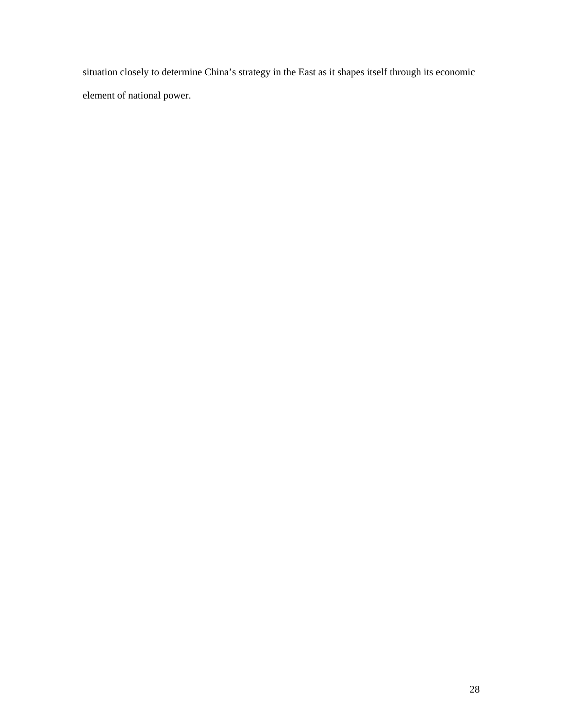situation closely to determine China's strategy in the East as it shapes itself through its economic element of national power.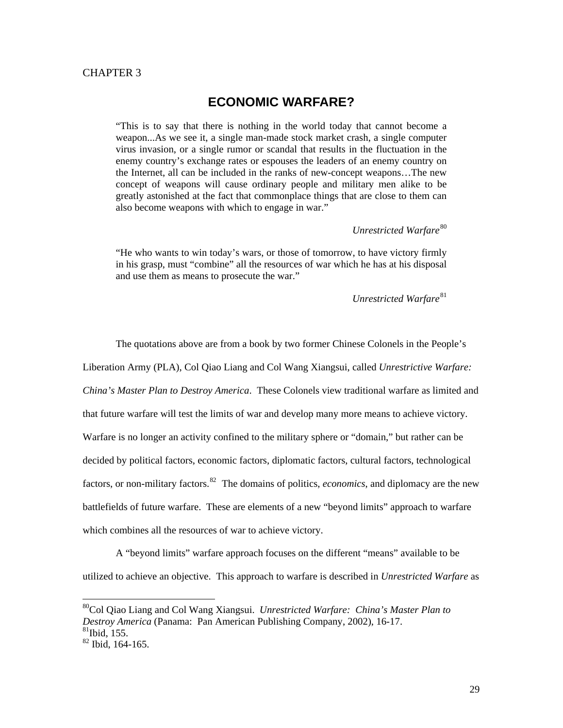### <span id="page-33-0"></span>CHAPTER 3

## **ECONOMIC WARFARE?**

"This is to say that there is nothing in the world today that cannot become a weapon...As we see it, a single man-made stock market crash, a single computer virus invasion, or a single rumor or scandal that results in the fluctuation in the enemy country's exchange rates or espouses the leaders of an enemy country on the Internet, all can be included in the ranks of new-concept weapons…The new concept of weapons will cause ordinary people and military men alike to be greatly astonished at the fact that commonplace things that are close to them can also become weapons with which to engage in war."

*Unrestricted Warfare*<sup>[80](#page-33-1)</sup>

"He who wants to win today's wars, or those of tomorrow, to have victory firmly in his grasp, must "combine" all the resources of war which he has at his disposal and use them as means to prosecute the war."

*Unrestricted Warfare*[81](#page-33-2)

 The quotations above are from a book by two former Chinese Colonels in the People's Liberation Army (PLA), Col Qiao Liang and Col Wang Xiangsui, called *Unrestrictive Warfare: China's Master Plan to Destroy America*. These Colonels view traditional warfare as limited and that future warfare will test the limits of war and develop many more means to achieve victory. Warfare is no longer an activity confined to the military sphere or "domain," but rather can be decided by political factors, economic factors, diplomatic factors, cultural factors, technological factors, or non-military factors.<sup>[82](#page-33-3)</sup> The domains of politics, *economics*, and diplomacy are the new battlefields of future warfare. These are elements of a new "beyond limits" approach to warfare which combines all the resources of war to achieve victory.

 A "beyond limits" warfare approach focuses on the different "means" available to be utilized to achieve an objective. This approach to warfare is described in *Unrestricted Warfare* as

<span id="page-33-1"></span><sup>80</sup>Col Qiao Liang and Col Wang Xiangsui. *Unrestricted Warfare: China's Master Plan to Destroy America* (Panama: Pan American Publishing Company, 2002), 16-17.  $81$ Ibid, 155.

<span id="page-33-3"></span><span id="page-33-2"></span><sup>82</sup> Ibid, 164-165.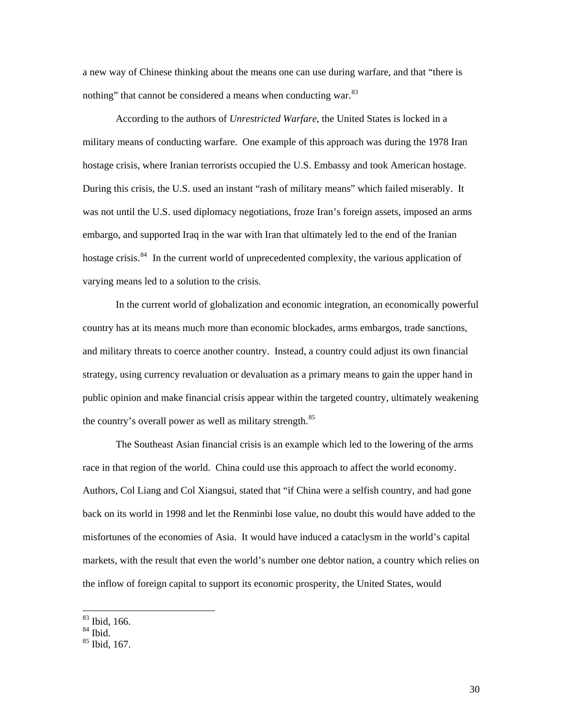a new way of Chinese thinking about the means one can use during warfare, and that "there is nothing" that cannot be considered a means when conducting war.<sup>[83](#page-34-0)</sup>

 According to the authors of *Unrestricted Warfare*, the United States is locked in a military means of conducting warfare. One example of this approach was during the 1978 Iran hostage crisis, where Iranian terrorists occupied the U.S. Embassy and took American hostage. During this crisis, the U.S. used an instant "rash of military means" which failed miserably. It was not until the U.S. used diplomacy negotiations, froze Iran's foreign assets, imposed an arms embargo, and supported Iraq in the war with Iran that ultimately led to the end of the Iranian hostage crisis.<sup>[84](#page-34-1)</sup> In the current world of unprecedented complexity, the various application of varying means led to a solution to the crisis.

 In the current world of globalization and economic integration, an economically powerful country has at its means much more than economic blockades, arms embargos, trade sanctions, and military threats to coerce another country. Instead, a country could adjust its own financial strategy, using currency revaluation or devaluation as a primary means to gain the upper hand in public opinion and make financial crisis appear within the targeted country, ultimately weakening the country's overall power as well as military strength.<sup>[85](#page-34-2)</sup>

The Southeast Asian financial crisis is an example which led to the lowering of the arms race in that region of the world. China could use this approach to affect the world economy. Authors, Col Liang and Col Xiangsui, stated that "if China were a selfish country, and had gone back on its world in 1998 and let the Renminbi lose value, no doubt this would have added to the misfortunes of the economies of Asia. It would have induced a cataclysm in the world's capital markets, with the result that even the world's number one debtor nation, a country which relies on the inflow of foreign capital to support its economic prosperity, the United States, would

<sup>83</sup> Ibid, 166.

<span id="page-34-1"></span><span id="page-34-0"></span> $84$  Ibid.

<span id="page-34-2"></span><sup>85</sup> Ibid, 167.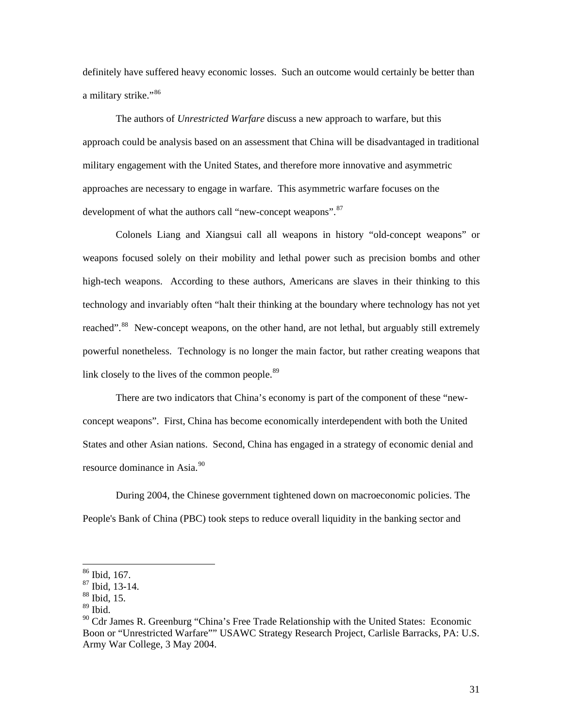definitely have suffered heavy economic losses. Such an outcome would certainly be better than a military strike."<sup>[86](#page-35-0)</sup>

 The authors of *Unrestricted Warfare* discuss a new approach to warfare, but this approach could be analysis based on an assessment that China will be disadvantaged in traditional military engagement with the United States, and therefore more innovative and asymmetric approaches are necessary to engage in warfare. This asymmetric warfare focuses on the development of what the authors call "new-concept weapons". <sup>[87](#page-35-1)</sup>

 Colonels Liang and Xiangsui call all weapons in history "old-concept weapons" or weapons focused solely on their mobility and lethal power such as precision bombs and other high-tech weapons. According to these authors, Americans are slaves in their thinking to this technology and invariably often "halt their thinking at the boundary where technology has not yet reached".<sup>[88](#page-35-2)</sup> New-concept weapons, on the other hand, are not lethal, but arguably still extremely powerful nonetheless. Technology is no longer the main factor, but rather creating weapons that link closely to the lives of the common people.<sup>[89](#page-35-3)</sup>

 There are two indicators that China's economy is part of the component of these "newconcept weapons". First, China has become economically interdependent with both the United States and other Asian nations. Second, China has engaged in a strategy of economic denial and resource dominance in Asia.<sup>[90](#page-35-4)</sup>

During 2004, the Chinese government tightened down on macroeconomic policies. The People's Bank of China (PBC) took steps to reduce overall liquidity in the banking sector and

<sup>86</sup> Ibid, 167.

<span id="page-35-1"></span><span id="page-35-0"></span><sup>87</sup> Ibid, 13-14.

 $88$  Ibid, 15.

<span id="page-35-3"></span><span id="page-35-2"></span><sup>89</sup> Ibid.

<span id="page-35-4"></span> $90$  Cdr James R. Greenburg "China's Free Trade Relationship with the United States: Economic Boon or "Unrestricted Warfare"" USAWC Strategy Research Project, Carlisle Barracks, PA: U.S. Army War College, 3 May 2004.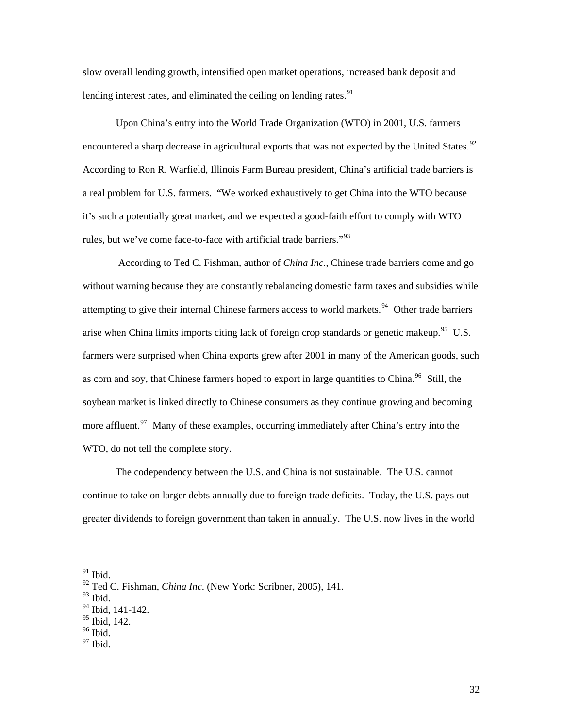slow overall lending growth, intensified open market operations, increased bank deposit and lending interest rates, and eliminated the ceiling on lending rates.  $91$ 

 Upon China's entry into the World Trade Organization (WTO) in 2001, U.S. farmers encountered a sharp decrease in agricultural exports that was not expected by the United States.<sup>[92](#page-36-1)</sup> According to Ron R. Warfield, Illinois Farm Bureau president, China's artificial trade barriers is a real problem for U.S. farmers. "We worked exhaustively to get China into the WTO because it's such a potentially great market, and we expected a good-faith effort to comply with WTO rules, but we've come face-to-face with artificial trade barriers."<sup>[93](#page-36-2)</sup>

 According to Ted C. Fishman, author of *China Inc.*, Chinese trade barriers come and go without warning because they are constantly rebalancing domestic farm taxes and subsidies while attempting to give their internal Chinese farmers access to world markets.<sup>[94](#page-36-3)</sup> Other trade barriers arise when China limits imports citing lack of foreign crop standards or genetic makeup.<sup>[95](#page-36-4)</sup> U.S. farmers were surprised when China exports grew after 2001 in many of the American goods, such as corn and soy, that Chinese farmers hoped to export in large quantities to China.<sup>[96](#page-36-5)</sup> Still, the soybean market is linked directly to Chinese consumers as they continue growing and becoming more affluent.<sup>[97](#page-36-6)</sup> Many of these examples, occurring immediately after China's entry into the WTO, do not tell the complete story.

 The codependency between the U.S. and China is not sustainable. The U.S. cannot continue to take on larger debts annually due to foreign trade deficits. Today, the U.S. pays out greater dividends to foreign government than taken in annually. The U.S. now lives in the world

 $\overline{a}$ 

<span id="page-36-0"></span> $91$  Ibid.

<span id="page-36-1"></span><sup>92</sup> Ted C. Fishman, *China Inc*. (New York: Scribner, 2005), 141.

<span id="page-36-2"></span> $93$  Ibid.

<span id="page-36-3"></span><sup>&</sup>lt;sup>94</sup> Ibid, 141-142.

<span id="page-36-4"></span><sup>&</sup>lt;sup>95</sup> Ibid, 142.

<span id="page-36-5"></span> $96$  Ibid.

<span id="page-36-6"></span> $97$  Ibid.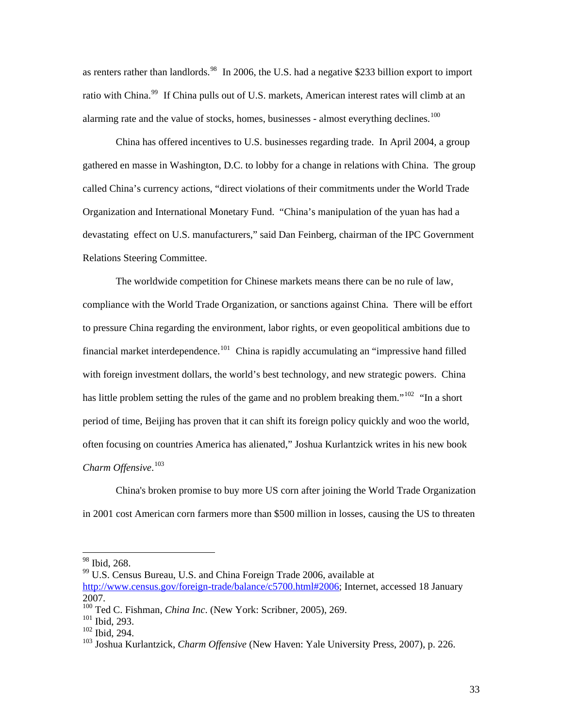as renters rather than landlords.<sup>[98](#page-37-0)</sup> In 2006, the U.S. had a negative \$233 billion export to import ratio with China.<sup>[99](#page-37-1)</sup> If China pulls out of U.S. markets, American interest rates will climb at an alarming rate and the value of stocks, homes, businesses - almost everything declines.<sup>[100](#page-37-2)</sup>

China has offered incentives to U.S. businesses regarding trade. In April 2004, a group gathered en masse in Washington, D.C. to lobby for a change in relations with China. The group called China's currency actions, "direct violations of their commitments under the World Trade Organization and International Monetary Fund. "China's manipulation of the yuan has had a devastating effect on U.S. manufacturers," said Dan Feinberg, chairman of the IPC Government Relations Steering Committee.

The worldwide competition for Chinese markets means there can be no rule of law, compliance with the World Trade Organization, or sanctions against China. There will be effort to pressure China regarding the environment, labor rights, or even geopolitical ambitions due to financial market interdependence.<sup>[101](#page-37-3)</sup> China is rapidly accumulating an "impressive hand filled with foreign investment dollars, the world's best technology, and new strategic powers. China has little problem setting the rules of the game and no problem breaking them."<sup>[102](#page-37-4)</sup> "In a short" period of time, Beijing has proven that it can shift its foreign policy quickly and woo the world, often focusing on countries America has alienated," Joshua Kurlantzick writes in his new book *Charm Offensive*. [103](#page-37-5)

China's broken promise to buy more US corn after joining the World Trade Organization in 2001 cost American corn farmers more than \$500 million in losses, causing the US to threaten

1

<span id="page-37-1"></span><span id="page-37-0"></span><sup>99</sup> U.S. Census Bureau, U.S. and China Foreign Trade 2006, available at

<sup>&</sup>lt;sup>98</sup> Ibid, 268.

[http://www.census.gov/foreign-trade/balance/c5700.html#2006;](http://www.census.gov/foreign-trade/balance/c5700.html#2006) Internet, accessed 18 January 2007.

<span id="page-37-2"></span><sup>100</sup> Ted C. Fishman, *China Inc*. (New York: Scribner, 2005), 269.

<span id="page-37-3"></span><sup>101</sup> Ibid, 293.

<span id="page-37-4"></span><sup>102</sup> Ibid, 294.

<span id="page-37-5"></span><sup>103</sup> Joshua Kurlantzick, *Charm Offensive* (New Haven: Yale University Press, 2007), p. 226.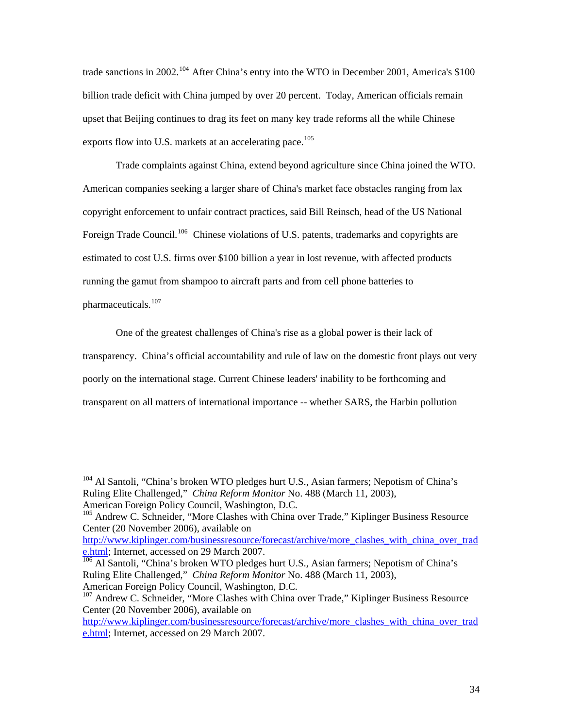trade sanctions in 2002.<sup>[104](#page-38-0)</sup> After China's entry into the WTO in December 2001, America's \$100 billion trade deficit with China jumped by over 20 percent. Today, American officials remain upset that Beijing continues to drag its feet on many key trade reforms all the while Chinese exports flow into U.S. markets at an accelerating pace.<sup>[105](#page-38-1)</sup>

Trade complaints against China, extend beyond agriculture since China joined the WTO. American companies seeking a larger share of China's market face obstacles ranging from lax copyright enforcement to unfair contract practices, said Bill Reinsch, head of the US National Foreign Trade Council.<sup>[106](#page-38-2)</sup> Chinese violations of U.S. patents, trademarks and copyrights are estimated to cost U.S. firms over \$100 billion a year in lost revenue, with affected products running the gamut from shampoo to aircraft parts and from cell phone batteries to pharmaceuticals. $107$ 

One of the greatest challenges of China's rise as a global power is their lack of transparency. China's official accountability and rule of law on the domestic front plays out very poorly on the international stage. Current Chinese leaders' inability to be forthcoming and transparent on all matters of international importance -- whether SARS, the Harbin pollution

1

[http://www.kiplinger.com/businessresource/forecast/archive/more\\_clashes\\_with\\_china\\_over\\_trad](http://www.kiplinger.com/businessresource/forecast/archive/more_clashes_with_china_over_trade.html) [e.html;](http://www.kiplinger.com/businessresource/forecast/archive/more_clashes_with_china_over_trade.html) Internet, accessed on 29 March 2007.

<span id="page-38-2"></span> $\frac{106}{106}$  Al Santoli, "China's broken WTO pledges hurt U.S., Asian farmers; Nepotism of China's Ruling Elite Challenged," *China Reform Monitor* No. 488 (March 11, 2003), American Foreign Policy Council, Washington, D.C.

<span id="page-38-0"></span><sup>&</sup>lt;sup>104</sup> Al Santoli, "China's broken WTO pledges hurt U.S., Asian farmers; Nepotism of China's Ruling Elite Challenged," *China Reform Monitor* No. 488 (March 11, 2003), American Foreign Policy Council, Washington, D.C.

<span id="page-38-1"></span><sup>&</sup>lt;sup>105</sup> Andrew C. Schneider, "More Clashes with China over Trade," Kiplinger Business Resource Center (20 November 2006), available on

<span id="page-38-3"></span><sup>&</sup>lt;sup>107</sup> Andrew C. Schneider, "More Clashes with China over Trade," Kiplinger Business Resource Center (20 November 2006), available on

[http://www.kiplinger.com/businessresource/forecast/archive/more\\_clashes\\_with\\_china\\_over\\_trad](http://www.kiplinger.com/businessresource/forecast/archive/more_clashes_with_china_over_trade.html) [e.html;](http://www.kiplinger.com/businessresource/forecast/archive/more_clashes_with_china_over_trade.html) Internet, accessed on 29 March 2007.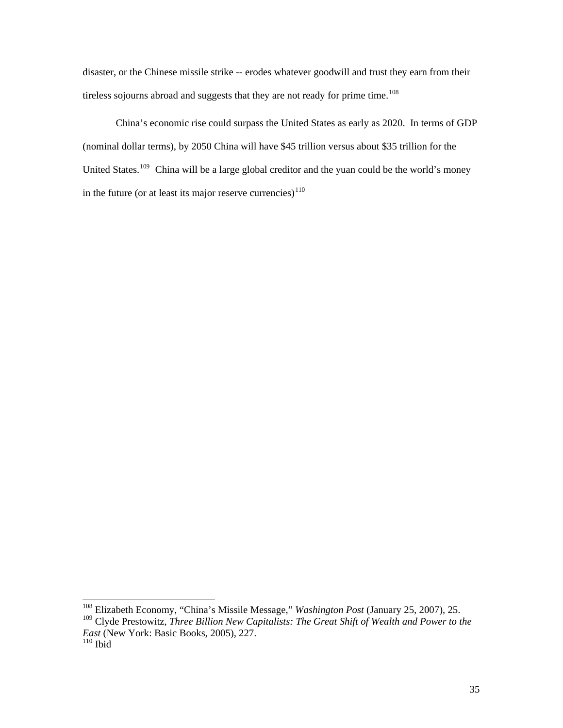disaster, or the Chinese missile strike -- erodes whatever goodwill and trust they earn from their tireless sojourns abroad and suggests that they are not ready for prime time.<sup>[108](#page-39-0)</sup>

 China's economic rise could surpass the United States as early as 2020. In terms of GDP (nominal dollar terms), by 2050 China will have \$45 trillion versus about \$35 trillion for the United States.<sup>[109](#page-39-1)</sup> China will be a large global creditor and the yuan could be the world's money in the future (or at least its major reserve currencies) $110$ 

<sup>108</sup> Elizabeth Economy, "China's Missile Message," *Washington Post* (January 25, 2007), 25.

<span id="page-39-1"></span><span id="page-39-0"></span><sup>&</sup>lt;sup>109</sup> Clyde Prestowitz, *Three Billion New Capitalists: The Great Shift of Wealth and Power to the East* (New York: Basic Books, 2005), 227.

<span id="page-39-2"></span> $110$  Ibid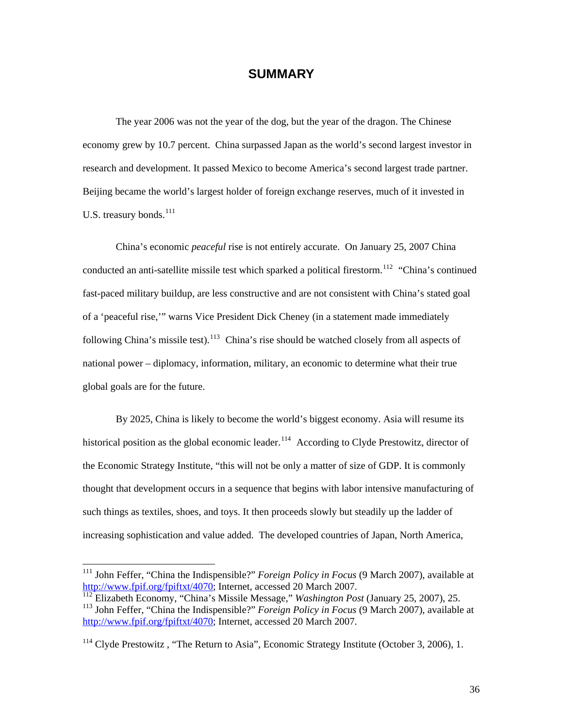## **SUMMARY**

<span id="page-40-0"></span>The year 2006 was not the year of the dog, but the year of the dragon. The Chinese economy grew by 10.7 percent. China surpassed Japan as the world's second largest investor in research and development. It passed Mexico to become America's second largest trade partner. Beijing became the world's largest holder of foreign exchange reserves, much of it invested in U.S. treasury bonds. $^{111}$  $^{111}$  $^{111}$ 

China's economic *peaceful* rise is not entirely accurate. On January 25, 2007 China conducted an anti-satellite missile test which sparked a political firestorm.<sup>[112](#page-40-2)</sup> "China's continued fast-paced military buildup, are less constructive and are not consistent with China's stated goal of a 'peaceful rise,'" warns Vice President Dick Cheney (in a statement made immediately following China's missile test).<sup>[113](#page-40-3)</sup> China's rise should be watched closely from all aspects of national power – diplomacy, information, military, an economic to determine what their true global goals are for the future.

By 2025, China is likely to become the world's biggest economy. Asia will resume its historical position as the global economic leader.<sup>[114](#page-40-4)</sup> According to Clyde Prestowitz, director of the Economic Strategy Institute, "this will not be only a matter of size of GDP. It is commonly thought that development occurs in a sequence that begins with labor intensive manufacturing of such things as textiles, shoes, and toys. It then proceeds slowly but steadily up the ladder of increasing sophistication and value added. The developed countries of Japan, North America,

<span id="page-40-1"></span><sup>111</sup> John Feffer, "China the Indispensible?" *Foreign Policy in Focus* (9 March 2007), available at [http://www.fpif.org/fpiftxt/4070;](http://www.fpif.org/fpiftxt/4070) Internet, accessed 20 March 2007.

<span id="page-40-3"></span><span id="page-40-2"></span><sup>112</sup> Elizabeth Economy, "China's Missile Message," *Washington Post* (January 25, 2007), 25. 113 John Feffer, "China the Indispensible?" *Foreign Policy in Focus* (9 March 2007), available at [http://www.fpif.org/fpiftxt/4070;](http://www.fpif.org/fpiftxt/4070) Internet, accessed 20 March 2007.

<span id="page-40-4"></span> $114$  Clyde Prestowitz, "The Return to Asia", Economic Strategy Institute (October 3, 2006), 1.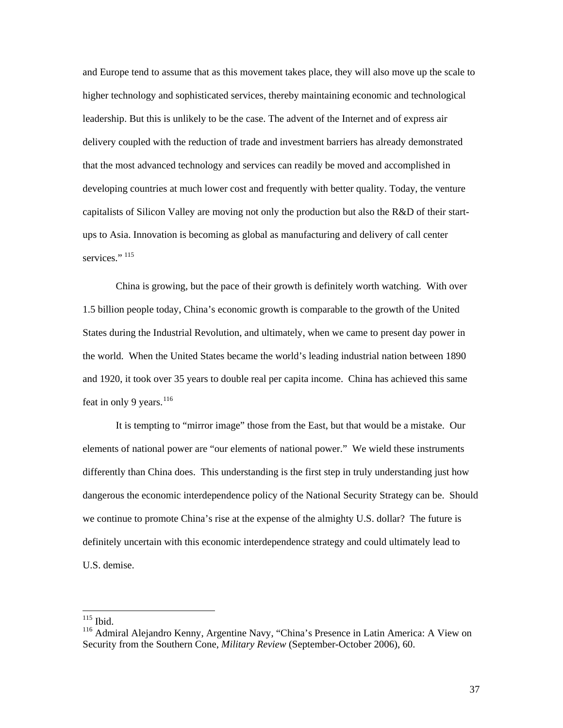and Europe tend to assume that as this movement takes place, they will also move up the scale to higher technology and sophisticated services, thereby maintaining economic and technological leadership. But this is unlikely to be the case. The advent of the Internet and of express air delivery coupled with the reduction of trade and investment barriers has already demonstrated that the most advanced technology and services can readily be moved and accomplished in developing countries at much lower cost and frequently with better quality. Today, the venture capitalists of Silicon Valley are moving not only the production but also the R&D of their startups to Asia. Innovation is becoming as global as manufacturing and delivery of call center services."<sup>[115](#page-41-0)</sup>

China is growing, but the pace of their growth is definitely worth watching. With over 1.5 billion people today, China's economic growth is comparable to the growth of the United States during the Industrial Revolution, and ultimately, when we came to present day power in the world. When the United States became the world's leading industrial nation between 1890 and 1920, it took over 35 years to double real per capita income. China has achieved this same feat in only 9 years. $116$ 

It is tempting to "mirror image" those from the East, but that would be a mistake. Our elements of national power are "our elements of national power." We wield these instruments differently than China does. This understanding is the first step in truly understanding just how dangerous the economic interdependence policy of the National Security Strategy can be. Should we continue to promote China's rise at the expense of the almighty U.S. dollar? The future is definitely uncertain with this economic interdependence strategy and could ultimately lead to U.S. demise.

 $115$  Ibid.

<span id="page-41-1"></span><span id="page-41-0"></span><sup>116</sup> Admiral Alejandro Kenny, Argentine Navy, "China's Presence in Latin America: A View on Security from the Southern Cone, *Military Review* (September-October 2006), 60.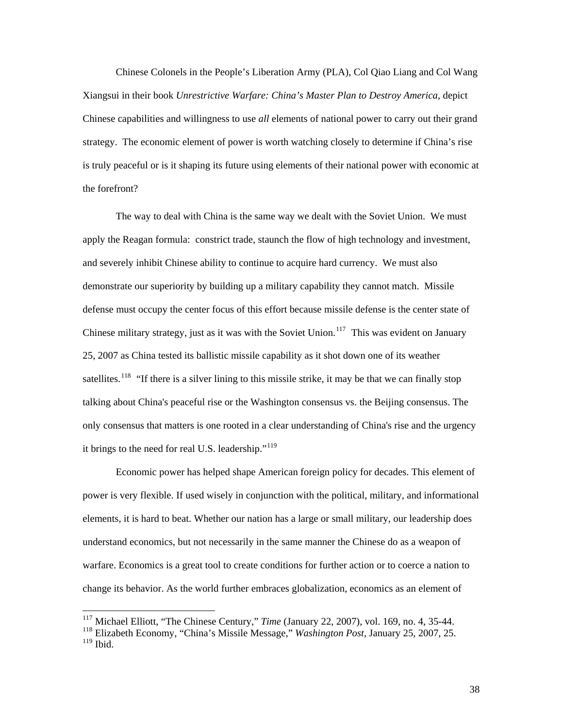Chinese Colonels in the People's Liberation Army (PLA), Col Qiao Liang and Col Wang Xiangsui in their book *Unrestrictive Warfare: China's Master Plan to Destroy America*, depict Chinese capabilities and willingness to use *all* elements of national power to carry out their grand strategy. The economic element of power is worth watching closely to determine if China's rise is truly peaceful or is it shaping its future using elements of their national power with economic at the forefront?

The way to deal with China is the same way we dealt with the Soviet Union. We must apply the Reagan formula: constrict trade, staunch the flow of high technology and investment, and severely inhibit Chinese ability to continue to acquire hard currency. We must also demonstrate our superiority by building up a military capability they cannot match. Missile defense must occupy the center focus of this effort because missile defense is the center state of Chinese military strategy, just as it was with the Soviet Union.<sup>[117](#page-42-0)</sup> This was evident on January 25, 2007 as China tested its ballistic missile capability as it shot down one of its weather satellites.<sup>[118](#page-42-1)</sup> "If there is a silver lining to this missile strike, it may be that we can finally stop talking about China's peaceful rise or the Washington consensus vs. the Beijing consensus. The only consensus that matters is one rooted in a clear understanding of China's rise and the urgency it brings to the need for real U.S. leadership."<sup>[119](#page-42-2)</sup>

Economic power has helped shape American foreign policy for decades. This element of power is very flexible. If used wisely in conjunction with the political, military, and informational elements, it is hard to beat. Whether our nation has a large or small military, our leadership does understand economics, but not necessarily in the same manner the Chinese do as a weapon of warfare. Economics is a great tool to create conditions for further action or to coerce a nation to change its behavior. As the world further embraces globalization, economics as an element of

<sup>117</sup> Michael Elliott, "The Chinese Century," *Time* (January 22, 2007), vol. 169, no. 4, 35-44.

<span id="page-42-2"></span><span id="page-42-1"></span><span id="page-42-0"></span><sup>118</sup> Elizabeth Economy, "China's Missile Message," *Washington Post,* January 25, 2007, 25.  $119$  Ibid.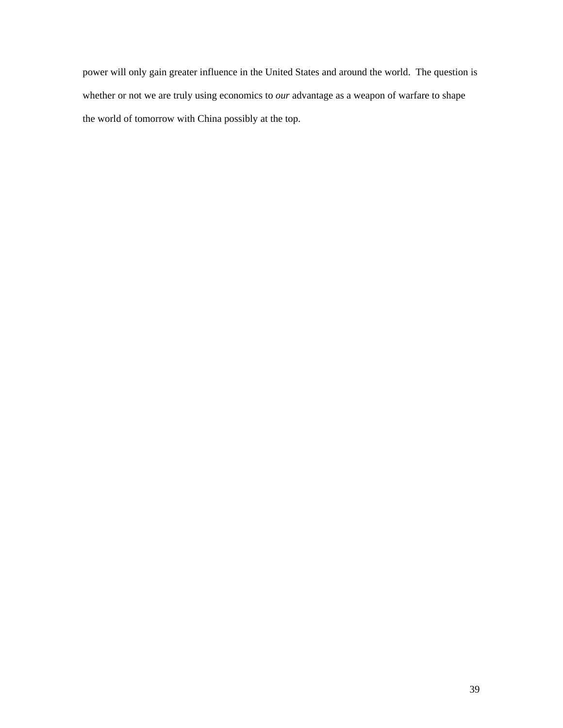power will only gain greater influence in the United States and around the world. The question is whether or not we are truly using economics to *our* advantage as a weapon of warfare to shape the world of tomorrow with China possibly at the top.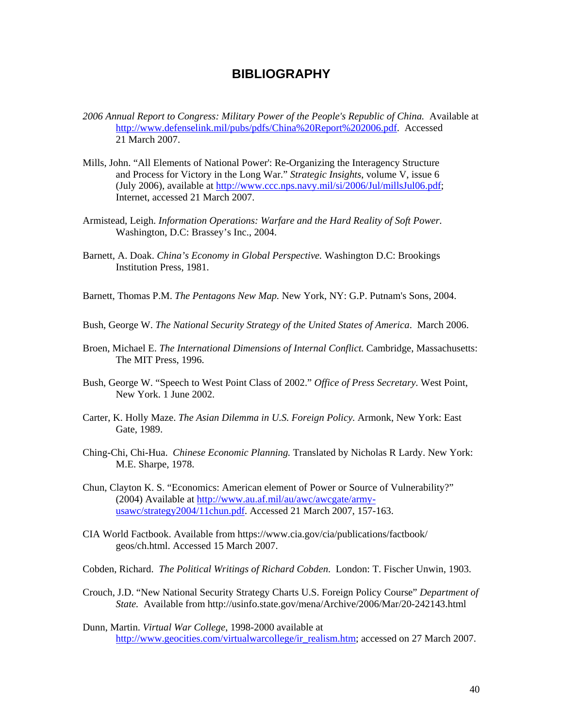## **BIBLIOGRAPHY**

- <span id="page-44-0"></span>2006 Annual Report to Congress: Military Power of the People's Republic of China. Available at [http://www.defenselink.mil/pubs/pdfs/China%20Report%202006.pdf.](http://www.defenselink.mil/pubs/pdfs/China%20Report%202006.pdf) Accessed 21 March 2007.
- Mills, John. "All Elements of National Power': Re-Organizing the Interagency Structure and Process for Victory in the Long War." *Strategic Insights*, volume V, issue 6 (July 2006), available at [http://www.ccc.nps.navy.mil/si/2006/Jul/millsJul06.pdf;](http://www.ccc.nps.navy.mil/si/2006/Jul/millsJul06.pdf) Internet, accessed 21 March 2007.
- Armistead, Leigh. *Information Operations: Warfare and the Hard Reality of Soft Power.*  Washington, D.C: Brassey's Inc., 2004.
- Barnett, A. Doak. *China's Economy in Global Perspective.* Washington D.C: Brookings Institution Press, 1981.
- Barnett, Thomas P.M. *The Pentagons New Map.* New York, NY: G.P. Putnam's Sons, 2004.
- Bush, George W. *The National Security Strategy of the United States of America*. March 2006.
- Broen, Michael E. *The International Dimensions of Internal Conflict.* Cambridge, Massachusetts: The MIT Press, 1996.
- Bush, George W. "Speech to West Point Class of 2002." *Office of Press Secretary*. West Point, New York. 1 June 2002.
- Carter, K. Holly Maze. *The Asian Dilemma in U.S. Foreign Policy.* Armonk, New York: East Gate, 1989.
- Ching-Chi, Chi-Hua. *Chinese Economic Planning.* Translated by Nicholas R Lardy. New York: M.E. Sharpe, 1978.
- Chun, Clayton K. S. "Economics: American element of Power or Source of Vulnerability?" (2004) Available at [http://www.au.af.mil/au/awc/awcgate/army](http://www.au.af.mil/au/awc/awcgate/army-usawc/strategy2004/11chun.pdf)[usawc/strategy2004/11chun.pdf](http://www.au.af.mil/au/awc/awcgate/army-usawc/strategy2004/11chun.pdf). Accessed 21 March 2007, 157-163.
- CIA World Factbook. Available from https://www.cia.gov/cia/publications/factbook/ geos/ch.html. Accessed 15 March 2007.
- Cobden, Richard. *The Political Writings of Richard Cobden*. London: T. Fischer Unwin, 1903.
- Crouch, J.D. "New National Security Strategy Charts U.S. Foreign Policy Course" *Department of State.* Available from http://usinfo.state.gov/mena/Archive/2006/Mar/20-242143.html
- Dunn, Martin. *Virtual War College*, 1998-2000 available at [http://www.geocities.com/virtualwarcollege/ir\\_realism.htm](http://www.geocities.com/virtualwarcollege/ir_realism.htm); accessed on 27 March 2007.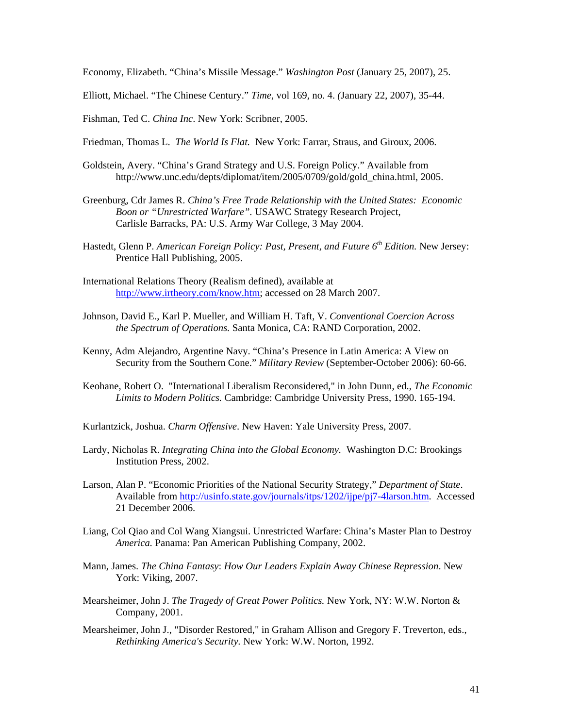Economy, Elizabeth. "China's Missile Message." *Washington Post* (January 25, 2007), 25.

Elliott, Michael. "The Chinese Century." *Time*, vol 169, no. 4. *(*January 22, 2007), 35-44.

Fishman, Ted C. *China Inc*. New York: Scribner, 2005.

Friedman, Thomas L. *The World Is Flat.* New York: Farrar, Straus, and Giroux, 2006.

- Goldstein, Avery. "China's Grand Strategy and U.S. Foreign Policy." Available from http://www.unc.edu/depts/diplomat/item/2005/0709/gold/gold\_china.html, 2005.
- Greenburg, Cdr James R. *China's Free Trade Relationship with the United States: Economic Boon or "Unrestricted Warfare".* USAWC Strategy Research Project, Carlisle Barracks, PA: U.S. Army War College, 3 May 2004.
- Hastedt, Glenn P. American Foreign Policy: Past, Present, and Future 6<sup>th</sup> Edition. New Jersey: Prentice Hall Publishing, 2005.
- International Relations Theory (Realism defined), available at [http://www.irtheory.com/know.htm;](http://www.irtheory.com/know.htm) accessed on 28 March 2007.
- Johnson, David E., Karl P. Mueller, and William H. Taft, V. *Conventional Coercion Across the Spectrum of Operations.* Santa Monica, CA: RAND Corporation, 2002.
- Kenny, Adm Alejandro, Argentine Navy. "China's Presence in Latin America: A View on Security from the Southern Cone." *Military Review* (September-October 2006): 60-66.
- Keohane, Robert O. "International Liberalism Reconsidered," in John Dunn, ed., *The Economic Limits to Modern Politics.* Cambridge: Cambridge University Press, 1990. 165-194.

Kurlantzick, Joshua. *Charm Offensive*. New Haven: Yale University Press, 2007.

- Lardy, Nicholas R. *Integrating China into the Global Economy.* Washington D.C: Brookings Institution Press, 2002.
- Larson, Alan P. "Economic Priorities of the National Security Strategy," *Department of State*. Available from [http://usinfo.state.gov/journals/itps/1202/ijpe/pj7-4larson.htm.](http://usinfo.state.gov/journals/itps/1202/ijpe/pj7-4larson.htm) Accessed 21 December 2006.
- Liang, Col Qiao and Col Wang Xiangsui. Unrestricted Warfare: China's Master Plan to Destroy *America.* Panama: Pan American Publishing Company, 2002.
- Mann, James. *The China Fantasy*: *How Our Leaders Explain Away Chinese Repression*. New York: Viking, 2007.
- Mearsheimer, John J. *The Tragedy of Great Power Politics.* New York, NY: W.W. Norton & Company, 2001.
- Mearsheimer, John J., "Disorder Restored," in Graham Allison and Gregory F. Treverton, eds., *Rethinking America's Security.* New York: W.W. Norton, 1992.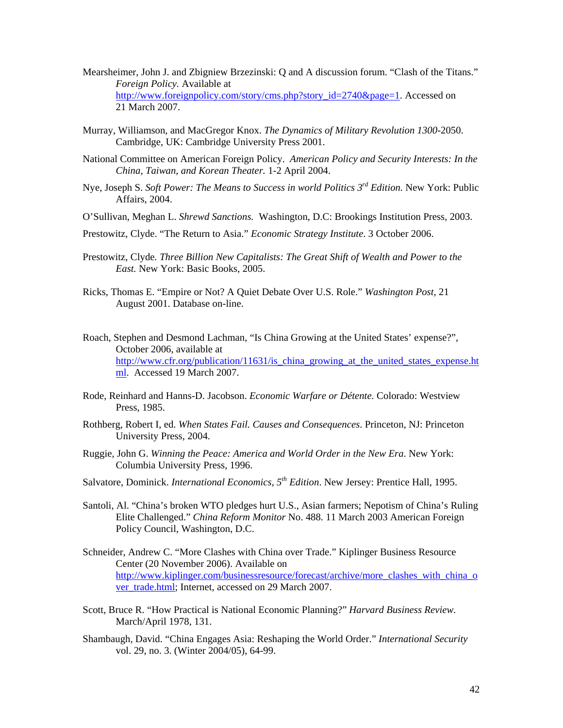- Mearsheimer, John J. and Zbigniew Brzezinski: Q and A discussion forum. "Clash of the Titans." *Foreign Policy.* Available at [http://www.foreignpolicy.com/story/cms.php?story\\_id=2740&page=1](http://www.foreignpolicy.com/story/cms.php?story_id=2740&page=1). Accessed on 21 March 2007.
- Murray, Williamson, and MacGregor Knox. *The Dynamics of Military Revolution 1300-*2050. Cambridge, UK: Cambridge University Press 2001.
- National Committee on American Foreign Policy. *American Policy and Security Interests: In the China, Taiwan, and Korean Theater.* 1-2 April 2004.
- Nye, Joseph S. *Soft Power: The Means to Success in world Politics 3rd Edition.* New York: Public Affairs, 2004.
- O'Sullivan, Meghan L. *Shrewd Sanctions.* Washington, D.C: Brookings Institution Press, 2003.
- Prestowitz, Clyde. "The Return to Asia." *Economic Strategy Institute*. 3 October 2006.
- Prestowitz, Clyde*. Three Billion New Capitalists: The Great Shift of Wealth and Power to the East.* New York: Basic Books, 2005.
- Ricks, Thomas E. "Empire or Not? A Quiet Debate Over U.S. Role." *Washington Post*, 21 August 2001. Database on-line.
- Roach, Stephen and Desmond Lachman, "Is China Growing at the United States' expense?", October 2006, available at [http://www.cfr.org/publication/11631/is\\_china\\_growing\\_at\\_the\\_united\\_states\\_expense.ht](http://www.cfr.org/publication/11631/is_china_growing_at_the_united_states_expense.html) [ml.](http://www.cfr.org/publication/11631/is_china_growing_at_the_united_states_expense.html) Accessed 19 March 2007.
- Rode, Reinhard and Hanns-D. Jacobson. *Economic Warfare or Détente.* Colorado: Westview Press, 1985.
- Rothberg, Robert I, ed. *When States Fail. Causes and Consequences*. Princeton, NJ: Princeton University Press, 2004.
- Ruggie, John G. *Winning the Peace: America and World Order in the New Era*. New York: Columbia University Press, 1996.
- Salvatore, Dominick. *International Economics, 5th Edition*. New Jersey: Prentice Hall, 1995.
- Santoli, Al. "China's broken WTO pledges hurt U.S., Asian farmers; Nepotism of China's Ruling Elite Challenged." *China Reform Monitor* No. 488. 11 March 2003 American Foreign Policy Council, Washington, D.C.
- Schneider, Andrew C. "More Clashes with China over Trade." Kiplinger Business Resource Center (20 November 2006). Available on [http://www.kiplinger.com/businessresource/forecast/archive/more\\_clashes\\_with\\_china\\_o](http://www.kiplinger.com/businessresource/forecast/archive/more_clashes_with_china_over_trade.html) [ver\\_trade.html](http://www.kiplinger.com/businessresource/forecast/archive/more_clashes_with_china_over_trade.html); Internet, accessed on 29 March 2007.
- Scott, Bruce R. "How Practical is National Economic Planning?" *Harvard Business Review.*  March/April 1978, 131.
- Shambaugh, David. "China Engages Asia: Reshaping the World Order." *International Security* vol. 29, no. 3. (Winter 2004/05), 64-99.